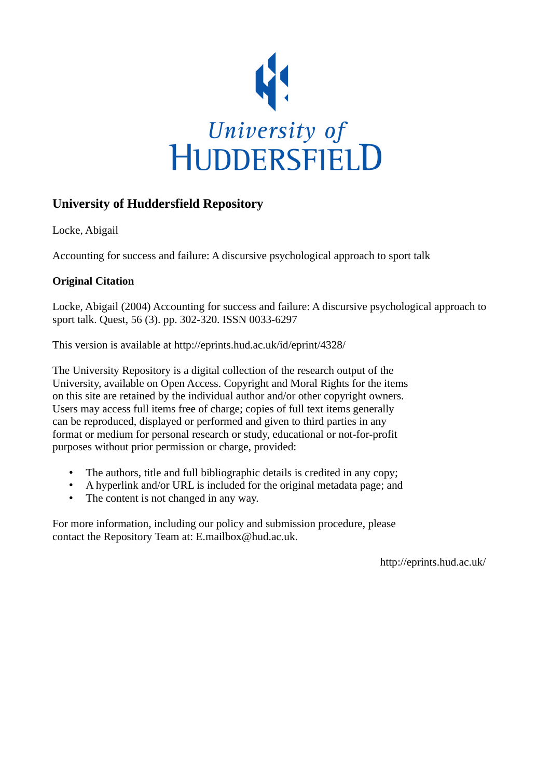

# **University of Huddersfield Repository**

Locke, Abigail

Accounting for success and failure: A discursive psychological approach to sport talk

# **Original Citation**

Locke, Abigail (2004) Accounting for success and failure: A discursive psychological approach to sport talk. Quest, 56 (3). pp. 302-320. ISSN 0033-6297

This version is available at http://eprints.hud.ac.uk/id/eprint/4328/

The University Repository is a digital collection of the research output of the University, available on Open Access. Copyright and Moral Rights for the items on this site are retained by the individual author and/or other copyright owners. Users may access full items free of charge; copies of full text items generally can be reproduced, displayed or performed and given to third parties in any format or medium for personal research or study, educational or not-for-profit purposes without prior permission or charge, provided:

- The authors, title and full bibliographic details is credited in any copy;
- A hyperlink and/or URL is included for the original metadata page; and
- The content is not changed in any way.

For more information, including our policy and submission procedure, please contact the Repository Team at: E.mailbox@hud.ac.uk.

http://eprints.hud.ac.uk/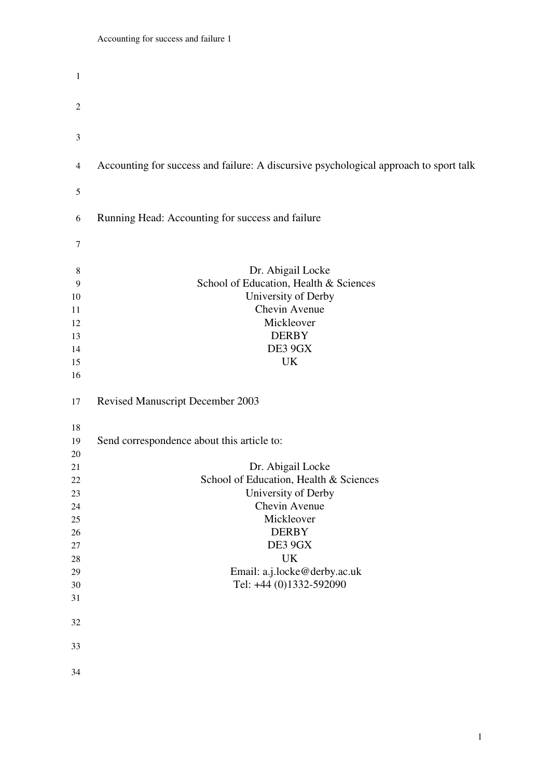| $\mathbf{1}$ |                                                                                       |
|--------------|---------------------------------------------------------------------------------------|
| 2            |                                                                                       |
|              |                                                                                       |
| 3            |                                                                                       |
| 4            | Accounting for success and failure: A discursive psychological approach to sport talk |
| 5            |                                                                                       |
| 6            | Running Head: Accounting for success and failure                                      |
| 7            |                                                                                       |
| 8            | Dr. Abigail Locke                                                                     |
| 9            | School of Education, Health & Sciences                                                |
| 10           | University of Derby                                                                   |
| 11           | Chevin Avenue                                                                         |
| 12           | Mickleover                                                                            |
| 13           | <b>DERBY</b>                                                                          |
| 14           | DE3 9GX                                                                               |
| 15           | UK                                                                                    |
| 16           |                                                                                       |
| 17           | <b>Revised Manuscript December 2003</b>                                               |
| 18           |                                                                                       |
| 19           | Send correspondence about this article to:                                            |
| 20           |                                                                                       |
| 21           | Dr. Abigail Locke                                                                     |
| 22           | School of Education, Health & Sciences                                                |
| 23           | University of Derby                                                                   |
| 24           | Chevin Avenue                                                                         |
| 25           | Mickleover                                                                            |
| 26           | <b>DERBY</b>                                                                          |
| 27           | DE3 9GX                                                                               |
| 28           | <b>UK</b>                                                                             |
| 29           | Email: a.j.locke@derby.ac.uk                                                          |
| 30           | Tel: +44 (0)1332-592090                                                               |
| 31           |                                                                                       |
| 32           |                                                                                       |
| 33           |                                                                                       |
| 34           |                                                                                       |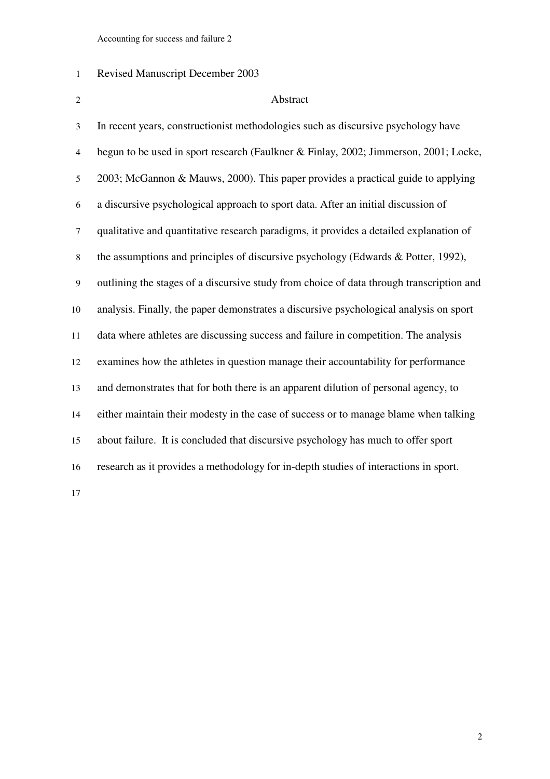# Revised Manuscript December 2003

# Abstract

| 3              | In recent years, constructionist methodologies such as discursive psychology have        |
|----------------|------------------------------------------------------------------------------------------|
| $\overline{4}$ | begun to be used in sport research (Faulkner & Finlay, 2002; Jimmerson, 2001; Locke,     |
| 5              | 2003; McGannon & Mauws, 2000). This paper provides a practical guide to applying         |
| 6              | a discursive psychological approach to sport data. After an initial discussion of        |
| $\tau$         | qualitative and quantitative research paradigms, it provides a detailed explanation of   |
| $\,8\,$        | the assumptions and principles of discursive psychology (Edwards & Potter, 1992),        |
| 9              | outlining the stages of a discursive study from choice of data through transcription and |
| 10             | analysis. Finally, the paper demonstrates a discursive psychological analysis on sport   |
| 11             | data where athletes are discussing success and failure in competition. The analysis      |
| 12             | examines how the athletes in question manage their accountability for performance        |
| 13             | and demonstrates that for both there is an apparent dilution of personal agency, to      |
| 14             | either maintain their modesty in the case of success or to manage blame when talking     |
| 15             | about failure. It is concluded that discursive psychology has much to offer sport        |
| 16             | research as it provides a methodology for in-depth studies of interactions in sport.     |
| 17             |                                                                                          |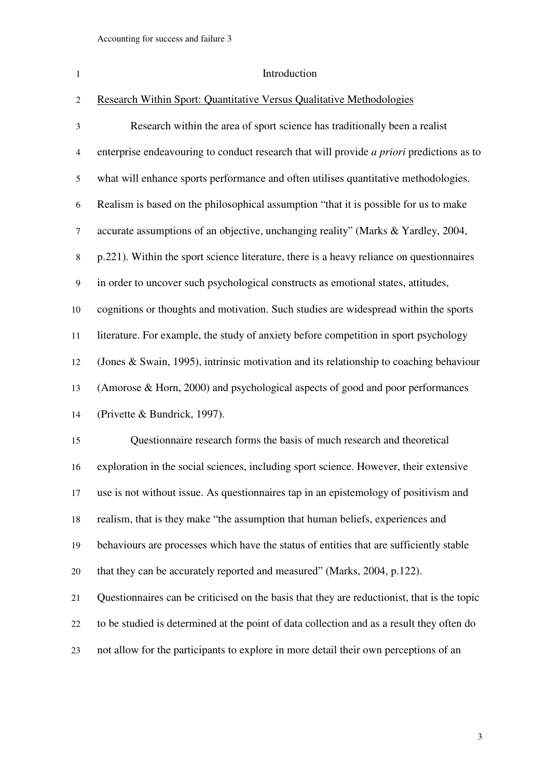- 1 Introduction Research Within Sport: Quantitative Versus Qualitative Methodologies Research within the area of sport science has traditionally been a realist enterprise endeavouring to conduct research that will provide *a priori* predictions as to what will enhance sports performance and often utilises quantitative methodologies. Realism is based on the philosophical assumption "that it is possible for us to make accurate assumptions of an objective, unchanging reality" (Marks & Yardley, 2004, p.221). Within the sport science literature, there is a heavy reliance on questionnaires in order to uncover such psychological constructs as emotional states, attitudes, cognitions or thoughts and motivation. Such studies are widespread within the sports literature. For example, the study of anxiety before competition in sport psychology (Jones & Swain, 1995), intrinsic motivation and its relationship to coaching behaviour (Amorose & Horn, 2000) and psychological aspects of good and poor performances (Privette & Bundrick, 1997). Questionnaire research forms the basis of much research and theoretical exploration in the social sciences, including sport science. However, their extensive use is not without issue. As questionnaires tap in an epistemology of positivism and realism, that is they make "the assumption that human beliefs, experiences and behaviours are processes which have the status of entities that are sufficiently stable that they can be accurately reported and measured" (Marks, 2004, p.122). Questionnaires can be criticised on the basis that they are reductionist, that is the topic to be studied is determined at the point of data collection and as a result they often do
- not allow for the participants to explore in more detail their own perceptions of an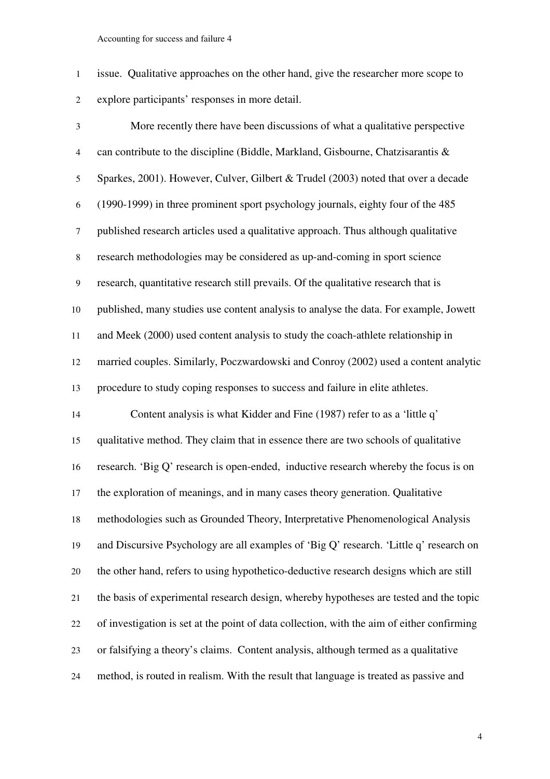issue. Qualitative approaches on the other hand, give the researcher more scope to explore participants' responses in more detail.

More recently there have been discussions of what a qualitative perspective can contribute to the discipline (Biddle, Markland, Gisbourne, Chatzisarantis & Sparkes, 2001). However, Culver, Gilbert & Trudel (2003) noted that over a decade (1990-1999) in three prominent sport psychology journals, eighty four of the 485 published research articles used a qualitative approach. Thus although qualitative research methodologies may be considered as up-and-coming in sport science research, quantitative research still prevails. Of the qualitative research that is published, many studies use content analysis to analyse the data. For example, Jowett and Meek (2000) used content analysis to study the coach-athlete relationship in married couples. Similarly, Poczwardowski and Conroy (2002) used a content analytic procedure to study coping responses to success and failure in elite athletes. Content analysis is what Kidder and Fine (1987) refer to as a 'little q' qualitative method. They claim that in essence there are two schools of qualitative research. 'Big Q' research is open-ended, inductive research whereby the focus is on the exploration of meanings, and in many cases theory generation. Qualitative methodologies such as Grounded Theory, Interpretative Phenomenological Analysis and Discursive Psychology are all examples of 'Big Q' research. 'Little q' research on the other hand, refers to using hypothetico-deductive research designs which are still the basis of experimental research design, whereby hypotheses are tested and the topic of investigation is set at the point of data collection, with the aim of either confirming or falsifying a theory's claims. Content analysis, although termed as a qualitative method, is routed in realism. With the result that language is treated as passive and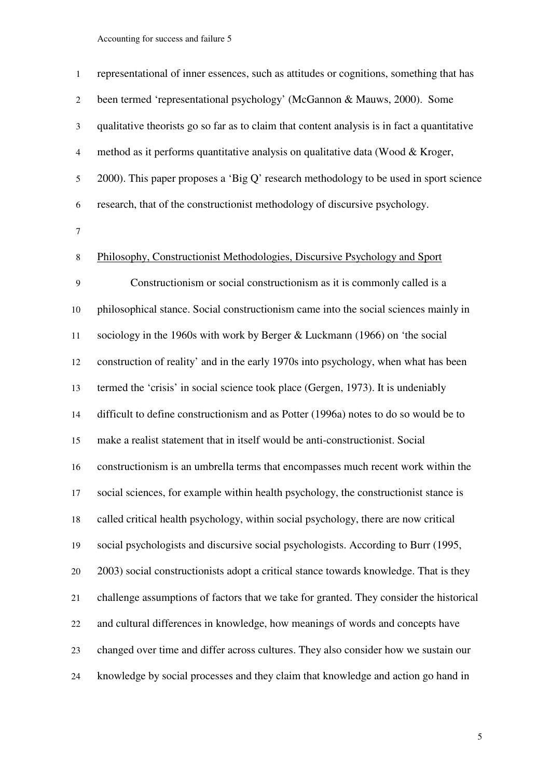|                | representational of inner essences, such as attitudes or cognitions, something that has     |
|----------------|---------------------------------------------------------------------------------------------|
| 2              | been termed 'representational psychology' (McGannon & Mauws, 2000). Some                    |
| 3              | qualitative theorists go so far as to claim that content analysis is in fact a quantitative |
| $\overline{4}$ | method as it performs quantitative analysis on qualitative data (Wood & Kroger,             |
| 5              | 2000). This paper proposes a 'Big Q' research methodology to be used in sport science       |
| 6              | research, that of the constructionist methodology of discursive psychology.                 |
|                |                                                                                             |

### Philosophy, Constructionist Methodologies, Discursive Psychology and Sport

Constructionism or social constructionism as it is commonly called is a philosophical stance. Social constructionism came into the social sciences mainly in sociology in the 1960s with work by Berger & Luckmann (1966) on 'the social construction of reality' and in the early 1970s into psychology, when what has been termed the 'crisis' in social science took place (Gergen, 1973). It is undeniably difficult to define constructionism and as Potter (1996a) notes to do so would be to make a realist statement that in itself would be anti-constructionist. Social constructionism is an umbrella terms that encompasses much recent work within the social sciences, for example within health psychology, the constructionist stance is called critical health psychology, within social psychology, there are now critical social psychologists and discursive social psychologists. According to Burr (1995, 2003) social constructionists adopt a critical stance towards knowledge. That is they challenge assumptions of factors that we take for granted. They consider the historical and cultural differences in knowledge, how meanings of words and concepts have changed over time and differ across cultures. They also consider how we sustain our knowledge by social processes and they claim that knowledge and action go hand in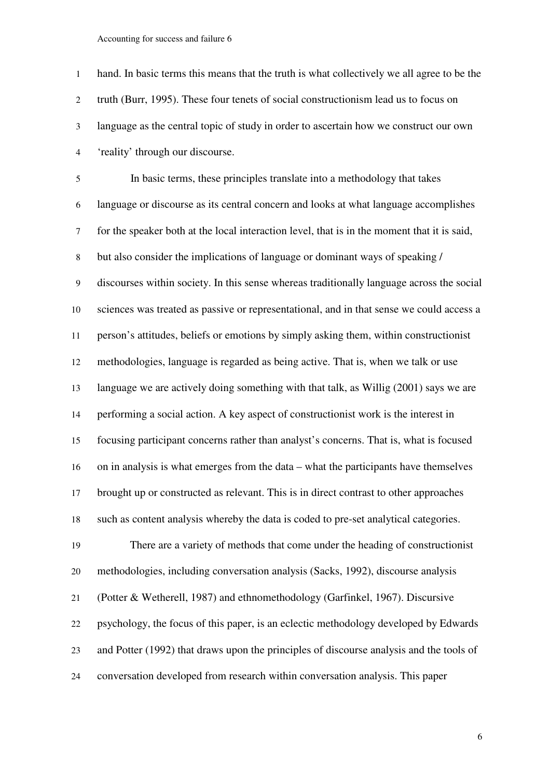| $\mathbf{1}$   | hand. In basic terms this means that the truth is what collectively we all agree to be the  |
|----------------|---------------------------------------------------------------------------------------------|
| $\overline{2}$ | truth (Burr, 1995). These four tenets of social constructionism lead us to focus on         |
| $\mathfrak{Z}$ | language as the central topic of study in order to ascertain how we construct our own       |
| $\overline{4}$ | 'reality' through our discourse.                                                            |
| 5              | In basic terms, these principles translate into a methodology that takes                    |
| 6              | language or discourse as its central concern and looks at what language accomplishes        |
| $\tau$         | for the speaker both at the local interaction level, that is in the moment that it is said, |
| $\,8\,$        | but also consider the implications of language or dominant ways of speaking /               |
| $\overline{9}$ | discourses within society. In this sense whereas traditionally language across the social   |
| 10             | sciences was treated as passive or representational, and in that sense we could access a    |
| 11             | person's attitudes, beliefs or emotions by simply asking them, within constructionist       |
| 12             | methodologies, language is regarded as being active. That is, when we talk or use           |
| 13             | language we are actively doing something with that talk, as Willig (2001) says we are       |
| 14             | performing a social action. A key aspect of constructionist work is the interest in         |
| 15             | focusing participant concerns rather than analyst's concerns. That is, what is focused      |
| 16             | on in analysis is what emerges from the data – what the participants have themselves        |
| 17             | brought up or constructed as relevant. This is in direct contrast to other approaches       |
| 18             | such as content analysis whereby the data is coded to pre-set analytical categories.        |
| 19             | There are a variety of methods that come under the heading of constructionist               |
| 20             | methodologies, including conversation analysis (Sacks, 1992), discourse analysis            |
| 21             | (Potter & Wetherell, 1987) and ethnomethodology (Garfinkel, 1967). Discursive               |
| 22             | psychology, the focus of this paper, is an eclectic methodology developed by Edwards        |
| 23             | and Potter (1992) that draws upon the principles of discourse analysis and the tools of     |
| 24             | conversation developed from research within conversation analysis. This paper               |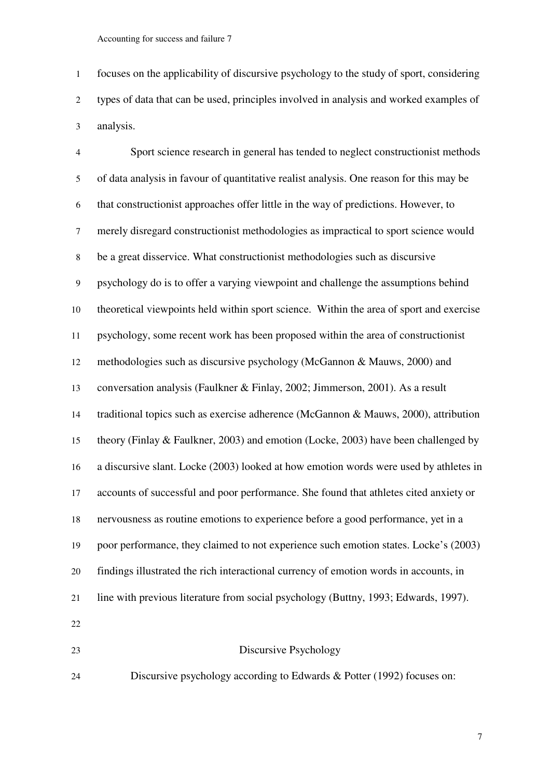focuses on the applicability of discursive psychology to the study of sport, considering types of data that can be used, principles involved in analysis and worked examples of analysis.

Sport science research in general has tended to neglect constructionist methods of data analysis in favour of quantitative realist analysis. One reason for this may be that constructionist approaches offer little in the way of predictions. However, to merely disregard constructionist methodologies as impractical to sport science would be a great disservice. What constructionist methodologies such as discursive psychology do is to offer a varying viewpoint and challenge the assumptions behind theoretical viewpoints held within sport science. Within the area of sport and exercise psychology, some recent work has been proposed within the area of constructionist methodologies such as discursive psychology (McGannon & Mauws, 2000) and conversation analysis (Faulkner & Finlay, 2002; Jimmerson, 2001). As a result traditional topics such as exercise adherence (McGannon & Mauws, 2000), attribution theory (Finlay & Faulkner, 2003) and emotion (Locke, 2003) have been challenged by a discursive slant. Locke (2003) looked at how emotion words were used by athletes in accounts of successful and poor performance. She found that athletes cited anxiety or nervousness as routine emotions to experience before a good performance, yet in a poor performance, they claimed to not experience such emotion states. Locke's (2003) findings illustrated the rich interactional currency of emotion words in accounts, in line with previous literature from social psychology (Buttny, 1993; Edwards, 1997). Discursive Psychology

Discursive psychology according to Edwards & Potter (1992) focuses on: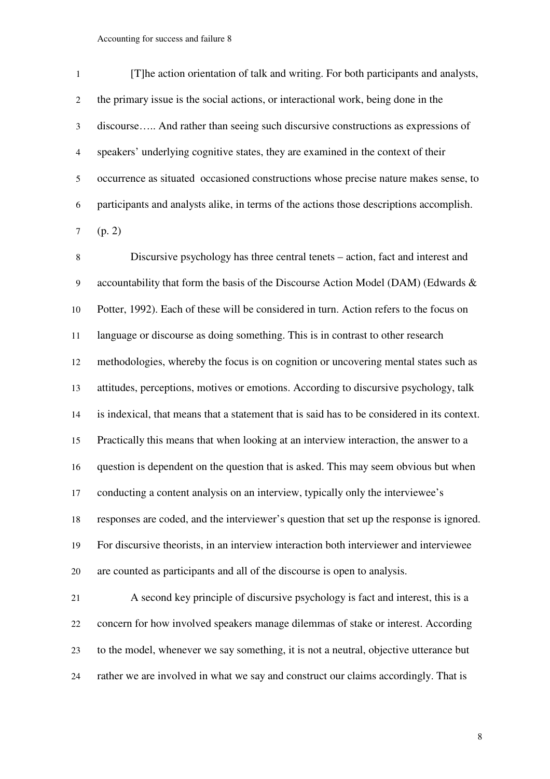| $\mathbf{1}$   | [T] he action orientation of talk and writing. For both participants and analysts,      |
|----------------|-----------------------------------------------------------------------------------------|
| 2              | the primary issue is the social actions, or interactional work, being done in the       |
| 3              | discourse And rather than seeing such discursive constructions as expressions of        |
| $\overline{4}$ | speakers' underlying cognitive states, they are examined in the context of their        |
| 5              | occurrence as situated occasioned constructions whose precise nature makes sense, to    |
| 6              | participants and analysts alike, in terms of the actions those descriptions accomplish. |
|                | 7 (p. 2)                                                                                |

Discursive psychology has three central tenets – action, fact and interest and accountability that form the basis of the Discourse Action Model (DAM) (Edwards & Potter, 1992). Each of these will be considered in turn. Action refers to the focus on language or discourse as doing something. This is in contrast to other research methodologies, whereby the focus is on cognition or uncovering mental states such as attitudes, perceptions, motives or emotions. According to discursive psychology, talk is indexical, that means that a statement that is said has to be considered in its context. Practically this means that when looking at an interview interaction, the answer to a question is dependent on the question that is asked. This may seem obvious but when conducting a content analysis on an interview, typically only the interviewee's responses are coded, and the interviewer's question that set up the response is ignored. For discursive theorists, in an interview interaction both interviewer and interviewee are counted as participants and all of the discourse is open to analysis.

A second key principle of discursive psychology is fact and interest, this is a concern for how involved speakers manage dilemmas of stake or interest. According to the model, whenever we say something, it is not a neutral, objective utterance but rather we are involved in what we say and construct our claims accordingly. That is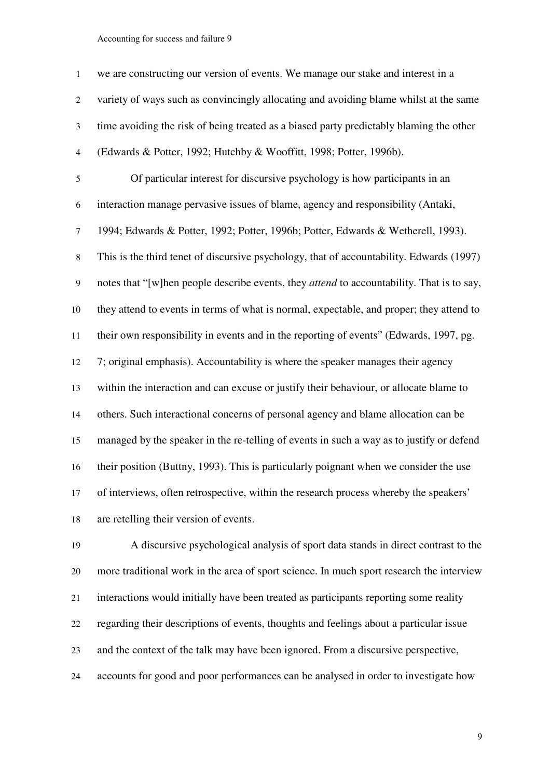| $\mathbf{1}$   | we are constructing our version of events. We manage our stake and interest in a                 |
|----------------|--------------------------------------------------------------------------------------------------|
| $\overline{2}$ | variety of ways such as convincingly allocating and avoiding blame whilst at the same            |
| 3              | time avoiding the risk of being treated as a biased party predictably blaming the other          |
| $\overline{4}$ | (Edwards & Potter, 1992; Hutchby & Wooffitt, 1998; Potter, 1996b).                               |
| 5              | Of particular interest for discursive psychology is how participants in an                       |
| 6              | interaction manage pervasive issues of blame, agency and responsibility (Antaki,                 |
| $\tau$         | 1994; Edwards & Potter, 1992; Potter, 1996b; Potter, Edwards & Wetherell, 1993).                 |
| $\,8\,$        | This is the third tenet of discursive psychology, that of accountability. Edwards (1997)         |
| $\overline{9}$ | notes that "[w]hen people describe events, they <i>attend</i> to accountability. That is to say, |
| 10             | they attend to events in terms of what is normal, expectable, and proper; they attend to         |
| 11             | their own responsibility in events and in the reporting of events" (Edwards, 1997, pg.           |
| 12             | 7; original emphasis). Accountability is where the speaker manages their agency                  |
| 13             | within the interaction and can excuse or justify their behaviour, or allocate blame to           |
| 14             | others. Such interactional concerns of personal agency and blame allocation can be               |
| 15             | managed by the speaker in the re-telling of events in such a way as to justify or defend         |
| 16             | their position (Buttny, 1993). This is particularly poignant when we consider the use            |
| 17             | of interviews, often retrospective, within the research process whereby the speakers'            |
| 18             | are retelling their version of events.                                                           |

A discursive psychological analysis of sport data stands in direct contrast to the more traditional work in the area of sport science. In much sport research the interview interactions would initially have been treated as participants reporting some reality regarding their descriptions of events, thoughts and feelings about a particular issue and the context of the talk may have been ignored. From a discursive perspective, accounts for good and poor performances can be analysed in order to investigate how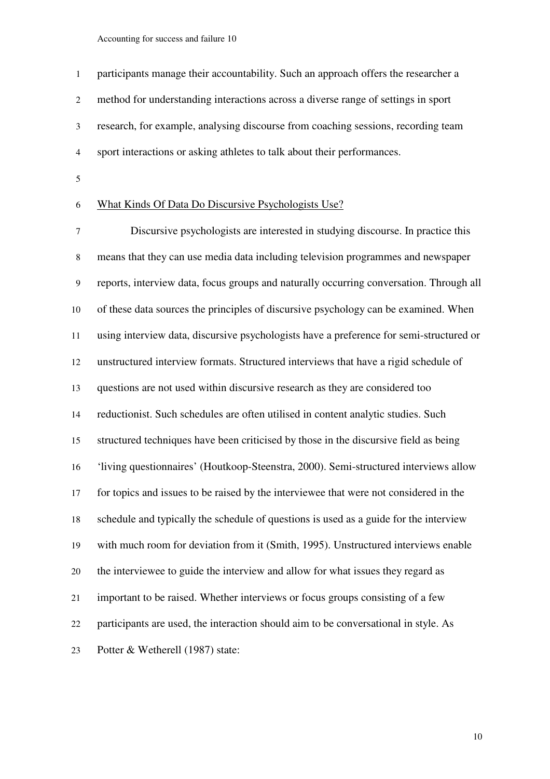participants manage their accountability. Such an approach offers the researcher a method for understanding interactions across a diverse range of settings in sport research, for example, analysing discourse from coaching sessions, recording team sport interactions or asking athletes to talk about their performances.

### What Kinds Of Data Do Discursive Psychologists Use?

Discursive psychologists are interested in studying discourse. In practice this means that they can use media data including television programmes and newspaper reports, interview data, focus groups and naturally occurring conversation. Through all of these data sources the principles of discursive psychology can be examined. When using interview data, discursive psychologists have a preference for semi-structured or unstructured interview formats. Structured interviews that have a rigid schedule of questions are not used within discursive research as they are considered too reductionist. Such schedules are often utilised in content analytic studies. Such structured techniques have been criticised by those in the discursive field as being 'living questionnaires' (Houtkoop-Steenstra, 2000). Semi-structured interviews allow for topics and issues to be raised by the interviewee that were not considered in the schedule and typically the schedule of questions is used as a guide for the interview with much room for deviation from it (Smith, 1995). Unstructured interviews enable the interviewee to guide the interview and allow for what issues they regard as important to be raised. Whether interviews or focus groups consisting of a few participants are used, the interaction should aim to be conversational in style. As Potter & Wetherell (1987) state: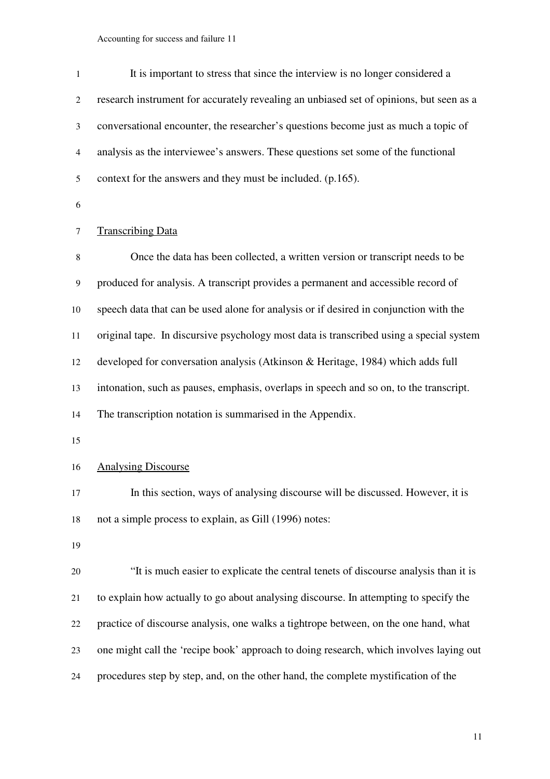| $\mathbf{1}$     | It is important to stress that since the interview is no longer considered a            |
|------------------|-----------------------------------------------------------------------------------------|
| $\overline{2}$   | research instrument for accurately revealing an unbiased set of opinions, but seen as a |
| $\mathfrak{Z}$   | conversational encounter, the researcher's questions become just as much a topic of     |
| $\overline{4}$   | analysis as the interviewee's answers. These questions set some of the functional       |
| 5                | context for the answers and they must be included. (p.165).                             |
| 6                |                                                                                         |
| 7                | <b>Transcribing Data</b>                                                                |
| 8                | Once the data has been collected, a written version or transcript needs to be           |
| $\boldsymbol{9}$ | produced for analysis. A transcript provides a permanent and accessible record of       |
| 10               | speech data that can be used alone for analysis or if desired in conjunction with the   |
| 11               | original tape. In discursive psychology most data is transcribed using a special system |
| 12               | developed for conversation analysis (Atkinson & Heritage, 1984) which adds full         |
| 13               | intonation, such as pauses, emphasis, overlaps in speech and so on, to the transcript.  |
| 14               | The transcription notation is summarised in the Appendix.                               |
| 15               |                                                                                         |
| 16               | <b>Analysing Discourse</b>                                                              |
| 17               | In this section, ways of analysing discourse will be discussed. However, it is          |
| 18               | not a simple process to explain, as Gill (1996) notes:                                  |
| 19               |                                                                                         |
| 20               | "It is much easier to explicate the central tenets of discourse analysis than it is     |
| 21               | to explain how actually to go about analysing discourse. In attempting to specify the   |
| 22               | practice of discourse analysis, one walks a tightrope between, on the one hand, what    |
| 23               | one might call the 'recipe book' approach to doing research, which involves laying out  |
| 24               | procedures step by step, and, on the other hand, the complete mystification of the      |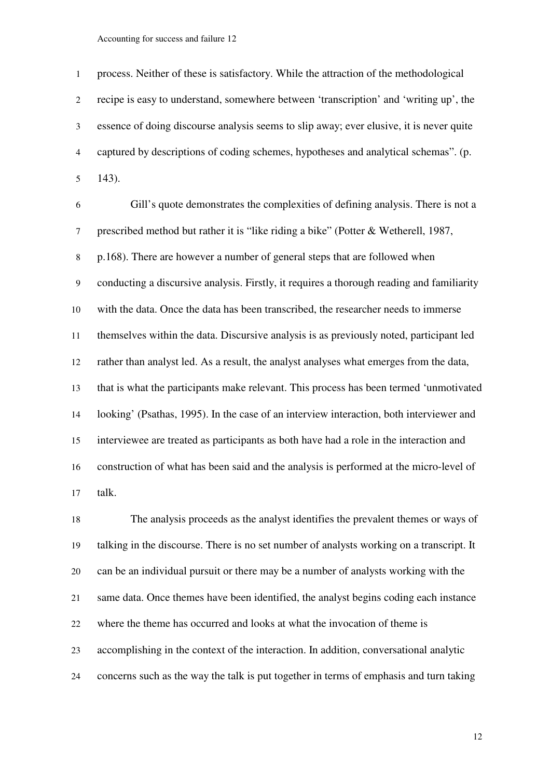process. Neither of these is satisfactory. While the attraction of the methodological recipe is easy to understand, somewhere between 'transcription' and 'writing up', the essence of doing discourse analysis seems to slip away; ever elusive, it is never quite captured by descriptions of coding schemes, hypotheses and analytical schemas". (p. 143).

Gill's quote demonstrates the complexities of defining analysis. There is not a prescribed method but rather it is "like riding a bike" (Potter & Wetherell, 1987, p.168). There are however a number of general steps that are followed when conducting a discursive analysis. Firstly, it requires a thorough reading and familiarity with the data. Once the data has been transcribed, the researcher needs to immerse themselves within the data. Discursive analysis is as previously noted, participant led rather than analyst led. As a result, the analyst analyses what emerges from the data, that is what the participants make relevant. This process has been termed 'unmotivated looking' (Psathas, 1995). In the case of an interview interaction, both interviewer and interviewee are treated as participants as both have had a role in the interaction and construction of what has been said and the analysis is performed at the micro-level of talk.

The analysis proceeds as the analyst identifies the prevalent themes or ways of talking in the discourse. There is no set number of analysts working on a transcript. It can be an individual pursuit or there may be a number of analysts working with the same data. Once themes have been identified, the analyst begins coding each instance where the theme has occurred and looks at what the invocation of theme is accomplishing in the context of the interaction. In addition, conversational analytic concerns such as the way the talk is put together in terms of emphasis and turn taking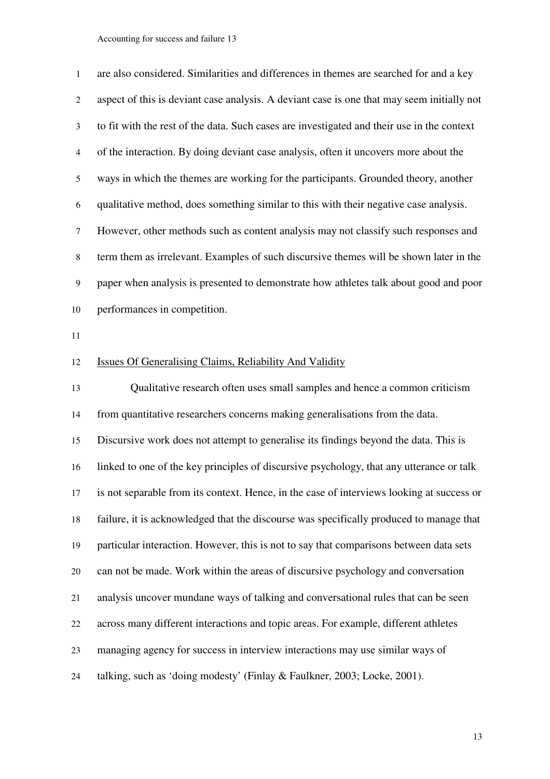| $\mathbf{1}$   | are also considered. Similarities and differences in themes are searched for and a key     |
|----------------|--------------------------------------------------------------------------------------------|
| 2              | aspect of this is deviant case analysis. A deviant case is one that may seem initially not |
| 3              | to fit with the rest of the data. Such cases are investigated and their use in the context |
| $\overline{4}$ | of the interaction. By doing deviant case analysis, often it uncovers more about the       |
| 5              | ways in which the themes are working for the participants. Grounded theory, another        |
| 6              | qualitative method, does something similar to this with their negative case analysis.      |
| 7              | However, other methods such as content analysis may not classify such responses and        |
| 8              | term them as irrelevant. Examples of such discursive themes will be shown later in the     |
| 9              | paper when analysis is presented to demonstrate how athletes talk about good and poor      |
| 10             | performances in competition.                                                               |
| 11             |                                                                                            |
| 12             | <b>Issues Of Generalising Claims, Reliability And Validity</b>                             |
| 13             | Qualitative research often uses small samples and hence a common criticism                 |
| 14             | from quantitative researchers concerns making generalisations from the data.               |
| 15             | Discursive work does not attempt to generalise its findings beyond the data. This is       |
| 16             | linked to one of the key principles of discursive psychology, that any utterance or talk   |
| 17             | is not separable from its context. Hence, in the case of interviews looking at success or  |
| 18             | failure, it is acknowledged that the discourse was specifically produced to manage that    |
| 19             | particular interaction. However, this is not to say that comparisons between data sets     |
| 20             | can not be made. Work within the areas of discursive psychology and conversation           |
| 21             | analysis uncover mundane ways of talking and conversational rules that can be seen         |
| 22             | across many different interactions and topic areas. For example, different athletes        |
| 23             | managing agency for success in interview interactions may use similar ways of              |
| 24             | talking, such as 'doing modesty' (Finlay & Faulkner, 2003; Locke, 2001).                   |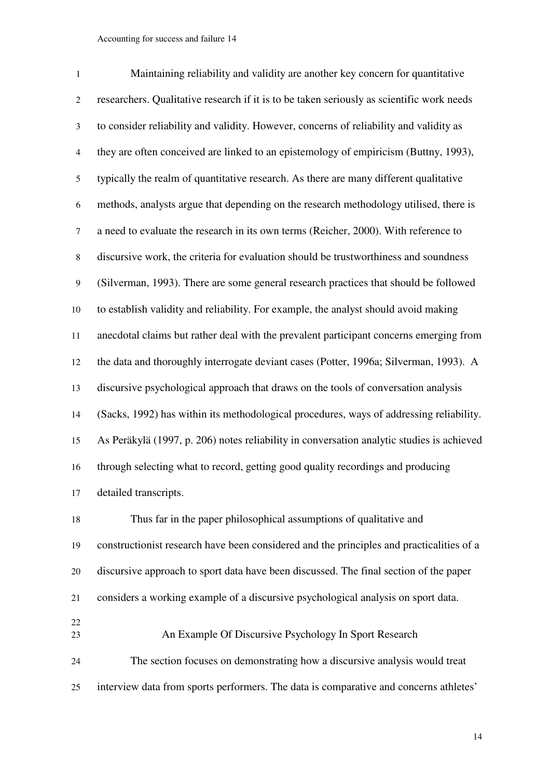| 1              | Maintaining reliability and validity are another key concern for quantitative             |  |  |  |
|----------------|-------------------------------------------------------------------------------------------|--|--|--|
| $\overline{c}$ | researchers. Qualitative research if it is to be taken seriously as scientific work needs |  |  |  |
| 3              | to consider reliability and validity. However, concerns of reliability and validity as    |  |  |  |
| $\overline{4}$ | they are often conceived are linked to an epistemology of empiricism (Buttny, 1993),      |  |  |  |
| 5              | typically the realm of quantitative research. As there are many different qualitative     |  |  |  |
| 6              | methods, analysts argue that depending on the research methodology utilised, there is     |  |  |  |
| $\tau$         | a need to evaluate the research in its own terms (Reicher, 2000). With reference to       |  |  |  |
| $\,8$          | discursive work, the criteria for evaluation should be trustworthiness and soundness      |  |  |  |
| 9              | (Silverman, 1993). There are some general research practices that should be followed      |  |  |  |
| 10             | to establish validity and reliability. For example, the analyst should avoid making       |  |  |  |
| 11             | anecdotal claims but rather deal with the prevalent participant concerns emerging from    |  |  |  |
| 12             | the data and thoroughly interrogate deviant cases (Potter, 1996a; Silverman, 1993). A     |  |  |  |
| 13             | discursive psychological approach that draws on the tools of conversation analysis        |  |  |  |
| 14             | (Sacks, 1992) has within its methodological procedures, ways of addressing reliability.   |  |  |  |
| 15             | As Peräkylä (1997, p. 206) notes reliability in conversation analytic studies is achieved |  |  |  |
| 16             | through selecting what to record, getting good quality recordings and producing           |  |  |  |
| 17             | detailed transcripts.                                                                     |  |  |  |
| 18             | Thus far in the paper philosophical assumptions of qualitative and                        |  |  |  |
| 19             | constructionist research have been considered and the principles and practicalities of a  |  |  |  |
| 20             | discursive approach to sport data have been discussed. The final section of the paper     |  |  |  |
| 21             | considers a working example of a discursive psychological analysis on sport data.         |  |  |  |
| 22<br>23       | An Example Of Discursive Psychology In Sport Research                                     |  |  |  |
| 24             | The section focuses on demonstrating how a discursive analysis would treat                |  |  |  |
| 25             | interview data from sports performers. The data is comparative and concerns athletes'     |  |  |  |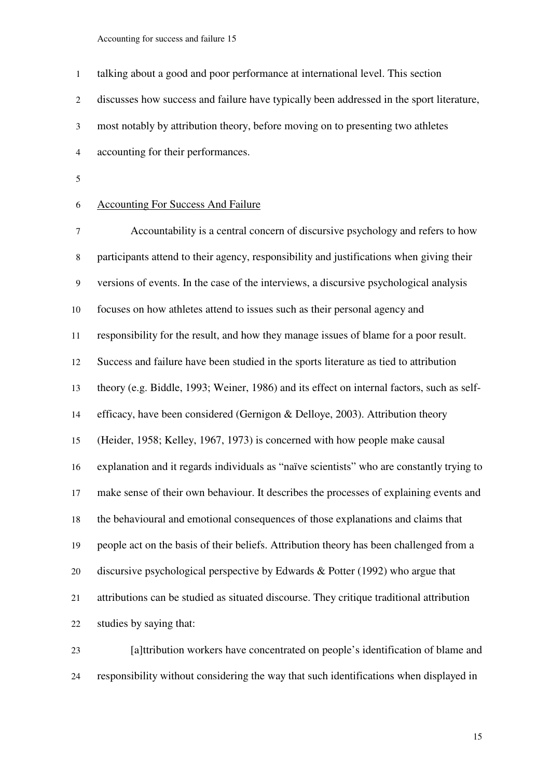| $\mathbf{1}$ | talking about a good and poor performance at international level. This section             |
|--------------|--------------------------------------------------------------------------------------------|
| 2            | discusses how success and failure have typically been addressed in the sport literature,   |
| 3            | most notably by attribution theory, before moving on to presenting two athletes            |
| 4            | accounting for their performances.                                                         |
| 5            |                                                                                            |
| 6            | <b>Accounting For Success And Failure</b>                                                  |
| 7            | Accountability is a central concern of discursive psychology and refers to how             |
| 8            | participants attend to their agency, responsibility and justifications when giving their   |
| 9            | versions of events. In the case of the interviews, a discursive psychological analysis     |
| 10           | focuses on how athletes attend to issues such as their personal agency and                 |
| 11           | responsibility for the result, and how they manage issues of blame for a poor result.      |
| 12           | Success and failure have been studied in the sports literature as tied to attribution      |
| 13           | theory (e.g. Biddle, 1993; Weiner, 1986) and its effect on internal factors, such as self- |
| 14           | efficacy, have been considered (Gernigon & Delloye, 2003). Attribution theory              |
| 15           | (Heider, 1958; Kelley, 1967, 1973) is concerned with how people make causal                |
| 16           | explanation and it regards individuals as "naïve scientists" who are constantly trying to  |
| 17           | make sense of their own behaviour. It describes the processes of explaining events and     |
| 18           | the behavioural and emotional consequences of those explanations and claims that           |
| 19           | people act on the basis of their beliefs. Attribution theory has been challenged from a    |
| 20           | discursive psychological perspective by Edwards $\&$ Potter (1992) who argue that          |
| 21           | attributions can be studied as situated discourse. They critique traditional attribution   |
| 22           | studies by saying that:                                                                    |
| 23           | [a]ttribution workers have concentrated on people's identification of blame and            |
|              |                                                                                            |

responsibility without considering the way that such identifications when displayed in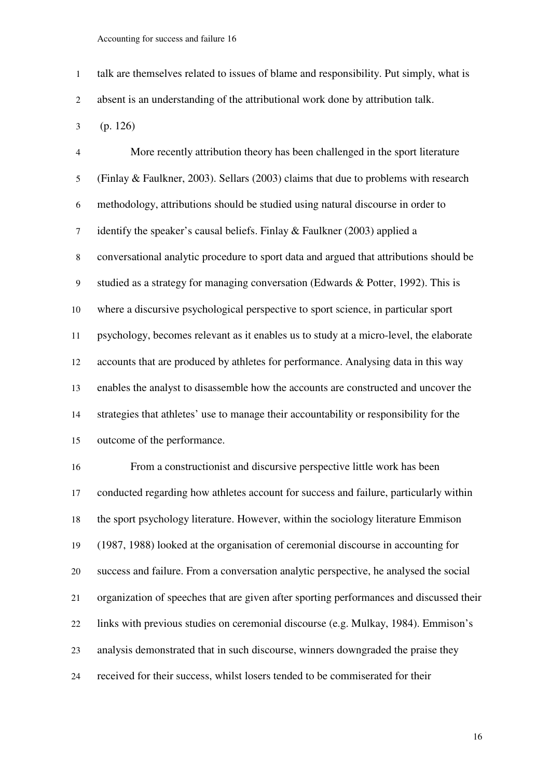talk are themselves related to issues of blame and responsibility. Put simply, what is absent is an understanding of the attributional work done by attribution talk.

(p. 126)

More recently attribution theory has been challenged in the sport literature (Finlay & Faulkner, 2003). Sellars (2003) claims that due to problems with research methodology, attributions should be studied using natural discourse in order to identify the speaker's causal beliefs. Finlay & Faulkner (2003) applied a conversational analytic procedure to sport data and argued that attributions should be studied as a strategy for managing conversation (Edwards & Potter, 1992). This is where a discursive psychological perspective to sport science, in particular sport psychology, becomes relevant as it enables us to study at a micro-level, the elaborate accounts that are produced by athletes for performance. Analysing data in this way enables the analyst to disassemble how the accounts are constructed and uncover the strategies that athletes' use to manage their accountability or responsibility for the outcome of the performance.

From a constructionist and discursive perspective little work has been conducted regarding how athletes account for success and failure, particularly within the sport psychology literature. However, within the sociology literature Emmison (1987, 1988) looked at the organisation of ceremonial discourse in accounting for success and failure. From a conversation analytic perspective, he analysed the social organization of speeches that are given after sporting performances and discussed their links with previous studies on ceremonial discourse (e.g. Mulkay, 1984). Emmison's analysis demonstrated that in such discourse, winners downgraded the praise they received for their success, whilst losers tended to be commiserated for their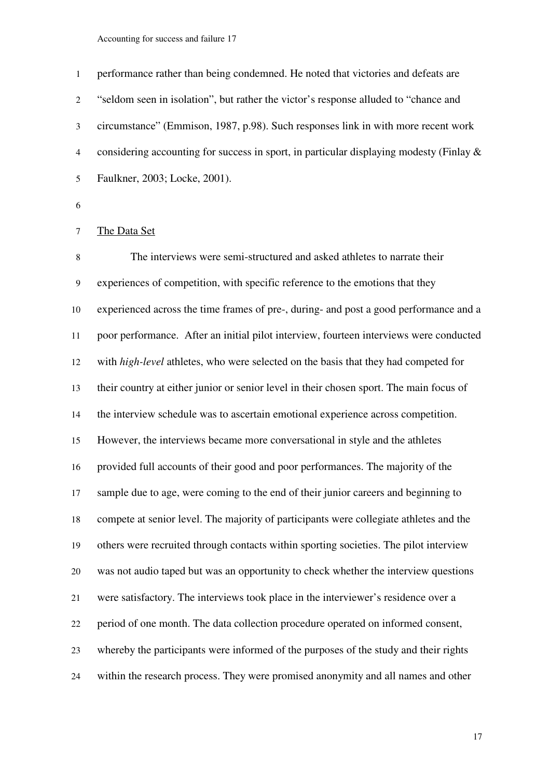performance rather than being condemned. He noted that victories and defeats are "seldom seen in isolation", but rather the victor's response alluded to "chance and circumstance" (Emmison, 1987, p.98). Such responses link in with more recent work considering accounting for success in sport, in particular displaying modesty (Finlay & Faulkner, 2003; Locke, 2001).

# The Data Set

The interviews were semi-structured and asked athletes to narrate their experiences of competition, with specific reference to the emotions that they experienced across the time frames of pre-, during- and post a good performance and a poor performance. After an initial pilot interview, fourteen interviews were conducted with *high-level* athletes, who were selected on the basis that they had competed for their country at either junior or senior level in their chosen sport. The main focus of the interview schedule was to ascertain emotional experience across competition. However, the interviews became more conversational in style and the athletes provided full accounts of their good and poor performances. The majority of the sample due to age, were coming to the end of their junior careers and beginning to compete at senior level. The majority of participants were collegiate athletes and the others were recruited through contacts within sporting societies. The pilot interview was not audio taped but was an opportunity to check whether the interview questions were satisfactory. The interviews took place in the interviewer's residence over a period of one month. The data collection procedure operated on informed consent, whereby the participants were informed of the purposes of the study and their rights within the research process. They were promised anonymity and all names and other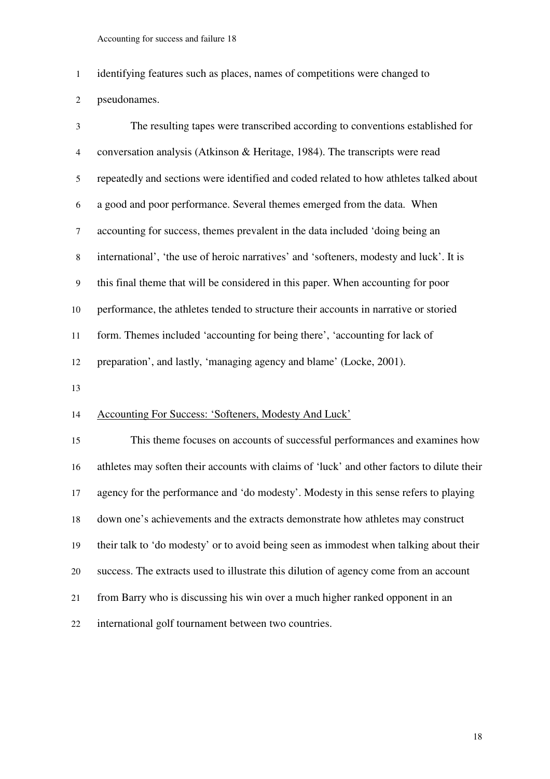identifying features such as places, names of competitions were changed to pseudonames.

The resulting tapes were transcribed according to conventions established for conversation analysis (Atkinson & Heritage, 1984). The transcripts were read repeatedly and sections were identified and coded related to how athletes talked about a good and poor performance. Several themes emerged from the data. When accounting for success, themes prevalent in the data included 'doing being an international', 'the use of heroic narratives' and 'softeners, modesty and luck'. It is this final theme that will be considered in this paper. When accounting for poor performance, the athletes tended to structure their accounts in narrative or storied form. Themes included 'accounting for being there', 'accounting for lack of preparation', and lastly, 'managing agency and blame' (Locke, 2001).

## Accounting For Success: 'Softeners, Modesty And Luck'

This theme focuses on accounts of successful performances and examines how athletes may soften their accounts with claims of 'luck' and other factors to dilute their agency for the performance and 'do modesty'. Modesty in this sense refers to playing down one's achievements and the extracts demonstrate how athletes may construct their talk to 'do modesty' or to avoid being seen as immodest when talking about their success. The extracts used to illustrate this dilution of agency come from an account from Barry who is discussing his win over a much higher ranked opponent in an international golf tournament between two countries.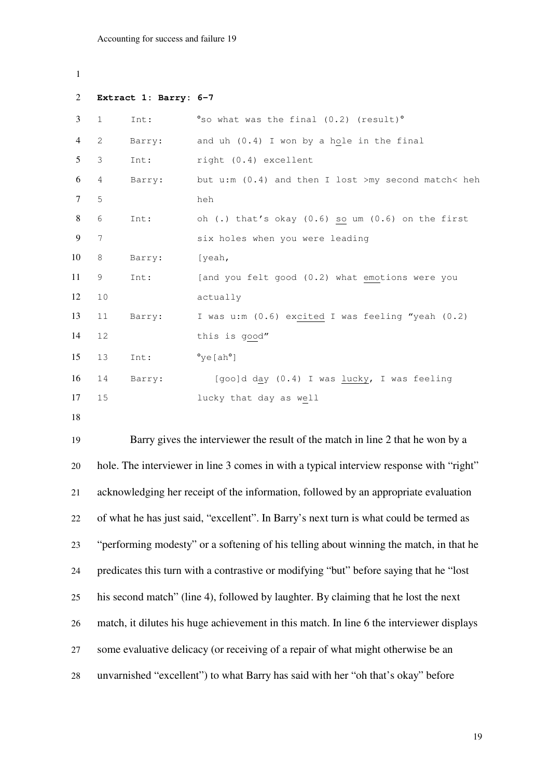```
1 
2 Extract 1: Barry: 6-7 
3 1 Int: <sup>o</sup>so what was the final (0.2) (result)<sup>o</sup>
4 2 Barry: and uh (0.4) I won by a hole in the final 
5 3 Int: right (0.4) excellent 
6 4 Barry: but u:m (0.4) and then I lost >my second match< heh 
7 5 heh 
8 6 Int: oh (.) that's okay (0.6) so um (0.6) on the first 
9 7 six holes when you were leading 
10 8 Barry: [yeah, 
11 9 Int: [and you felt good (0.2) what emotions were you 
12 10 actually 
13 11 Barry: I was u:m (0.6) excited I was feeling "yeah (0.2) 
14 12 this is good" 
15 13 Int: °ye[ah°] 
16 14 Barry: [goo]d day (0.4) I was lucky, I was feeling 
17 15 lucky that day as well 
18 
19 Barry gives the interviewer the result of the match in line 2 that he won by a
```
hole. The interviewer in line 3 comes in with a typical interview response with "right" acknowledging her receipt of the information, followed by an appropriate evaluation of what he has just said, "excellent". In Barry's next turn is what could be termed as "performing modesty" or a softening of his telling about winning the match, in that he predicates this turn with a contrastive or modifying "but" before saying that he "lost his second match" (line 4), followed by laughter. By claiming that he lost the next match, it dilutes his huge achievement in this match. In line 6 the interviewer displays some evaluative delicacy (or receiving of a repair of what might otherwise be an unvarnished "excellent") to what Barry has said with her "oh that's okay" before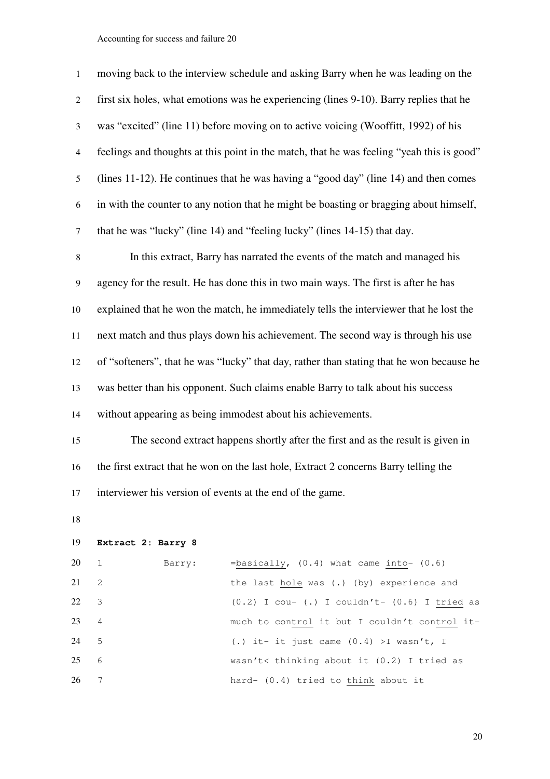| $\mathbf{1}$   | moving back to the interview schedule and asking Barry when he was leading on the         |  |  |  |  |
|----------------|-------------------------------------------------------------------------------------------|--|--|--|--|
| 2              | first six holes, what emotions was he experiencing (lines 9-10). Barry replies that he    |  |  |  |  |
| $\mathfrak{Z}$ | was "excited" (line 11) before moving on to active voicing (Wooffitt, 1992) of his        |  |  |  |  |
| $\overline{4}$ | feelings and thoughts at this point in the match, that he was feeling "yeah this is good" |  |  |  |  |
| $\mathfrak s$  | (lines 11-12). He continues that he was having a "good day" (line 14) and then comes      |  |  |  |  |
| 6              | in with the counter to any notion that he might be boasting or bragging about himself,    |  |  |  |  |
| $\tau$         | that he was "lucky" (line 14) and "feeling lucky" (lines 14-15) that day.                 |  |  |  |  |
| $\,8\,$        | In this extract, Barry has narrated the events of the match and managed his               |  |  |  |  |
| 9              | agency for the result. He has done this in two main ways. The first is after he has       |  |  |  |  |
| 10             | explained that he won the match, he immediately tells the interviewer that he lost the    |  |  |  |  |
| 11             | next match and thus plays down his achievement. The second way is through his use         |  |  |  |  |
| 12             | of "softeners", that he was "lucky" that day, rather than stating that he won because he  |  |  |  |  |
| 13             | was better than his opponent. Such claims enable Barry to talk about his success          |  |  |  |  |
| 14             | without appearing as being immodest about his achievements.                               |  |  |  |  |
| 15             | The second extract happens shortly after the first and as the result is given in          |  |  |  |  |
| 16             | the first extract that he won on the last hole, Extract 2 concerns Barry telling the      |  |  |  |  |
| 17             | interviewer his version of events at the end of the game.                                 |  |  |  |  |
| 18             |                                                                                           |  |  |  |  |
| 19             | Extract 2: Barry 8                                                                        |  |  |  |  |
| 20             | =basically, $(0.4)$ what came into- $(0.6)$<br>1<br>Barry:                                |  |  |  |  |
| 21             | $\mathbf{2}$<br>the last hole was (.) (by) experience and                                 |  |  |  |  |

22 3 (0.2) I cou- (.) I couldn't-  $(0.6)$  I  $tried$  as</u>

23 4 much to control it but I couldn't control it-

5 (.) it- it just came (0.4) >I wasn't, I

7 hard- (0.4) tried to think about it

6 wasn't< thinking about it (0.2) I tried as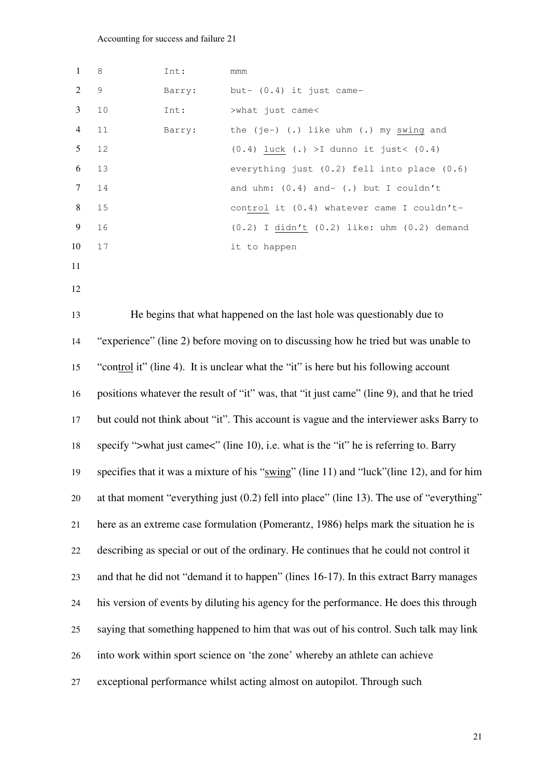| 1              | 8                                                                                          | Int:   | mmm                                                                                       |  |
|----------------|--------------------------------------------------------------------------------------------|--------|-------------------------------------------------------------------------------------------|--|
| 2              | $\mathsf 9$                                                                                | Barry: | but- (0.4) it just came-                                                                  |  |
| 3              | 10                                                                                         | Int:   | >what just came<                                                                          |  |
| $\overline{4}$ | 11                                                                                         | Barry: | the $(je-)$ (.) like uhm (.) my swing and                                                 |  |
| 5              | 12                                                                                         |        | $(0.4)$ luck $(.)$ >I dunno it just< $(0.4)$                                              |  |
| 6              | 13                                                                                         |        | everything just (0.2) fell into place (0.6)                                               |  |
| 7              | 14                                                                                         |        | and uhm: $(0.4)$ and- $(.)$ but I couldn't                                                |  |
| 8              | 15                                                                                         |        | control it (0.4) whatever came I couldn't-                                                |  |
| 9              | 16                                                                                         |        | $(0.2)$ I didn't $(0.2)$ like: uhm $(0.2)$ demand                                         |  |
| 10             | $17$                                                                                       |        | it to happen                                                                              |  |
| 11             |                                                                                            |        |                                                                                           |  |
| 12             |                                                                                            |        |                                                                                           |  |
| 13             |                                                                                            |        | He begins that what happened on the last hole was questionably due to                     |  |
|                |                                                                                            |        |                                                                                           |  |
| 14             | "experience" (line 2) before moving on to discussing how he tried but was unable to        |        |                                                                                           |  |
| 15             | "control it" (line 4). It is unclear what the "it" is here but his following account       |        |                                                                                           |  |
| 16             | positions whatever the result of "it" was, that "it just came" (line 9), and that he tried |        |                                                                                           |  |
| 17             | but could not think about "it". This account is vague and the interviewer asks Barry to    |        |                                                                                           |  |
| 18             | specify ">what just came<" (line 10), i.e. what is the "it" he is referring to. Barry      |        |                                                                                           |  |
| 19             | specifies that it was a mixture of his "swing" (line 11) and "luck" (line 12), and for him |        |                                                                                           |  |
|                |                                                                                            |        |                                                                                           |  |
| 20             |                                                                                            |        | at that moment "everything just (0.2) fell into place" (line 13). The use of "everything" |  |
| 21             |                                                                                            |        | here as an extreme case formulation (Pomerantz, 1986) helps mark the situation he is      |  |
| 22             |                                                                                            |        | describing as special or out of the ordinary. He continues that he could not control it   |  |
| 23             |                                                                                            |        | and that he did not "demand it to happen" (lines 16-17). In this extract Barry manages    |  |
| 24             |                                                                                            |        | his version of events by diluting his agency for the performance. He does this through    |  |
| 25             | saying that something happened to him that was out of his control. Such talk may link      |        |                                                                                           |  |
| 26             | into work within sport science on 'the zone' whereby an athlete can achieve                |        |                                                                                           |  |
| 27             |                                                                                            |        | exceptional performance whilst acting almost on autopilot. Through such                   |  |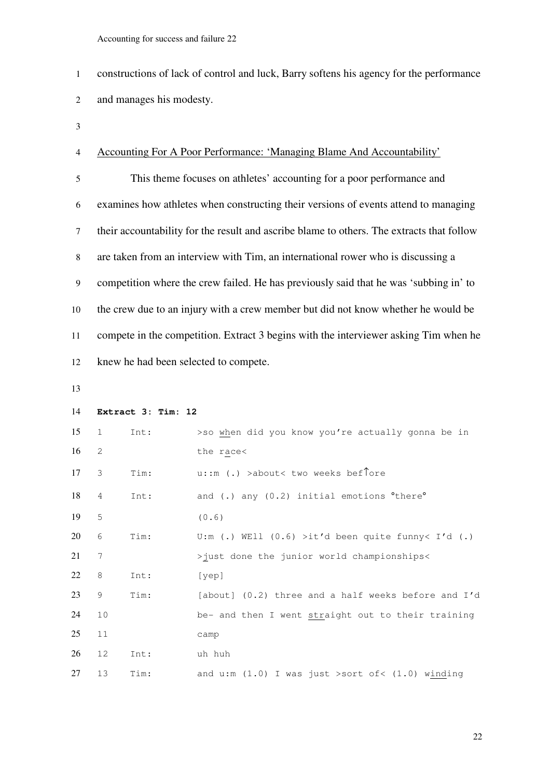constructions of lack of control and luck, Barry softens his agency for the performance and manages his modesty.

## Accounting For A Poor Performance: 'Managing Blame And Accountability'

This theme focuses on athletes' accounting for a poor performance and examines how athletes when constructing their versions of events attend to managing their accountability for the result and ascribe blame to others. The extracts that follow are taken from an interview with Tim, an international rower who is discussing a competition where the crew failed. He has previously said that he was 'subbing in' to the crew due to an injury with a crew member but did not know whether he would be compete in the competition. Extract 3 begins with the interviewer asking Tim when he knew he had been selected to compete.

```
14 Extract 3: Tim: 12 
15 1 Int: >so when did you know you're actually gonna be in 
16 2 the race<
17 3 Tim: u::m (.) >about< two weeks bef↑ore 
18 4 Int: and (.) any (0.2) initial emotions <sup>o</sup>there<sup>o</sup>
19 5 (0.6) 
20 6 Tim: U:m (.) WEll (0.6) >it'd been quite funny< I'd (.) 
21 7 >just done the junior world championships< 
22 8 Int: [yep] 
23 9 Tim: [about] (0.2) three and a half weeks before and I'd 
24 10 be- and then I went straight out to their training 
25 11 camp 
26 12 Int: uh huh 
27 13 Tim: and u:m (1.0) I was just >sort of< (1.0) winding
```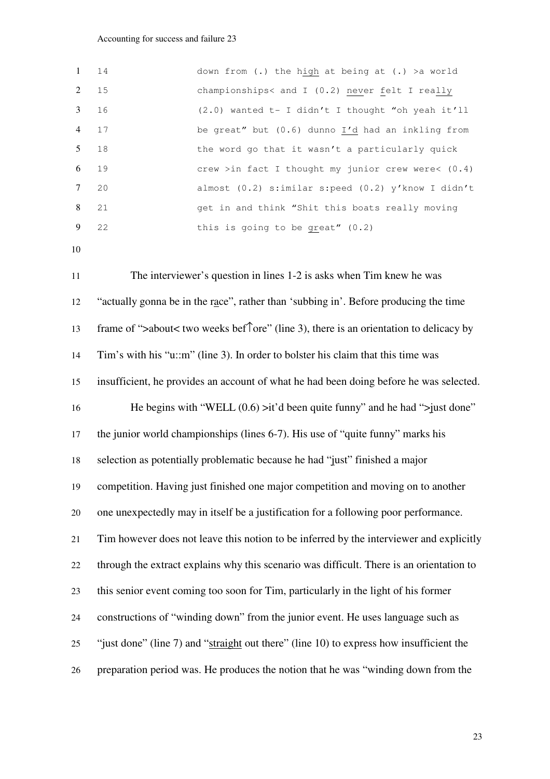| $1 \t14$ |    | down from (.) the high at being at (.) > a world     |
|----------|----|------------------------------------------------------|
| 2 15     |    | championships< and I (0.2) never felt I really       |
| 3 16     |    | $(2.0)$ wanted t- I didn't I thought "oh yeah it'll  |
| 4 17     |    | be great" but (0.6) dunno I'd had an inkling from    |
| 5 18     |    | the word go that it wasn't a particularly quick      |
| 6 19     |    | crew >in fact I thought my junior crew were< $(0.4)$ |
| $7 \t20$ |    | almost (0.2) s:imilar s:peed (0.2) y'know I didn't   |
| 8 21     |    | get in and think "Shit this boats really moving      |
| 9        | 22 | this is going to be great" $(0.2)$                   |

The interviewer's question in lines 1-2 is asks when Tim knew he was "actually gonna be in the race", rather than 'subbing in'. Before producing the time frame of ">about< two weeks bef↑ore" (line 3), there is an orientation to delicacy by Tim's with his "u::m" (line 3). In order to bolster his claim that this time was insufficient, he provides an account of what he had been doing before he was selected. 16 He begins with "WELL  $(0.6)$  >it'd been quite funny" and he had ">just done" the junior world championships (lines 6-7). His use of "quite funny" marks his selection as potentially problematic because he had "just" finished a major competition. Having just finished one major competition and moving on to another one unexpectedly may in itself be a justification for a following poor performance. Tim however does not leave this notion to be inferred by the interviewer and explicitly through the extract explains why this scenario was difficult. There is an orientation to this senior event coming too soon for Tim, particularly in the light of his former constructions of "winding down" from the junior event. He uses language such as "just done" (line 7) and "straight out there" (line 10) to express how insufficient the preparation period was. He produces the notion that he was "winding down from the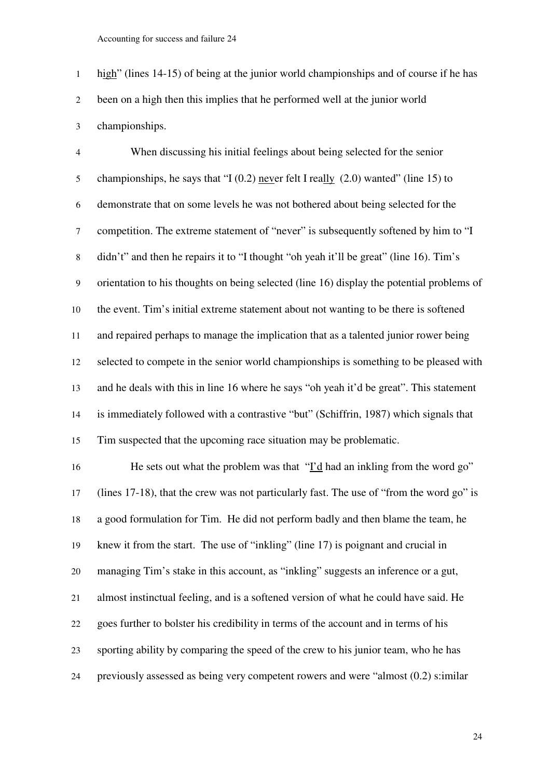high" (lines 14-15) of being at the junior world championships and of course if he has been on a high then this implies that he performed well at the junior world championships.

When discussing his initial feelings about being selected for the senior championships, he says that "I (0.2) never felt I really (2.0) wanted" (line 15) to demonstrate that on some levels he was not bothered about being selected for the competition. The extreme statement of "never" is subsequently softened by him to "I didn't" and then he repairs it to "I thought "oh yeah it'll be great" (line 16). Tim's orientation to his thoughts on being selected (line 16) display the potential problems of the event. Tim's initial extreme statement about not wanting to be there is softened and repaired perhaps to manage the implication that as a talented junior rower being selected to compete in the senior world championships is something to be pleased with and he deals with this in line 16 where he says "oh yeah it'd be great". This statement is immediately followed with a contrastive "but" (Schiffrin, 1987) which signals that Tim suspected that the upcoming race situation may be problematic.

He sets out what the problem was that "I'd had an inkling from the word go" (lines 17-18), that the crew was not particularly fast. The use of "from the word go" is a good formulation for Tim. He did not perform badly and then blame the team, he knew it from the start. The use of "inkling" (line 17) is poignant and crucial in managing Tim's stake in this account, as "inkling" suggests an inference or a gut, almost instinctual feeling, and is a softened version of what he could have said. He goes further to bolster his credibility in terms of the account and in terms of his sporting ability by comparing the speed of the crew to his junior team, who he has previously assessed as being very competent rowers and were "almost (0.2) s:imilar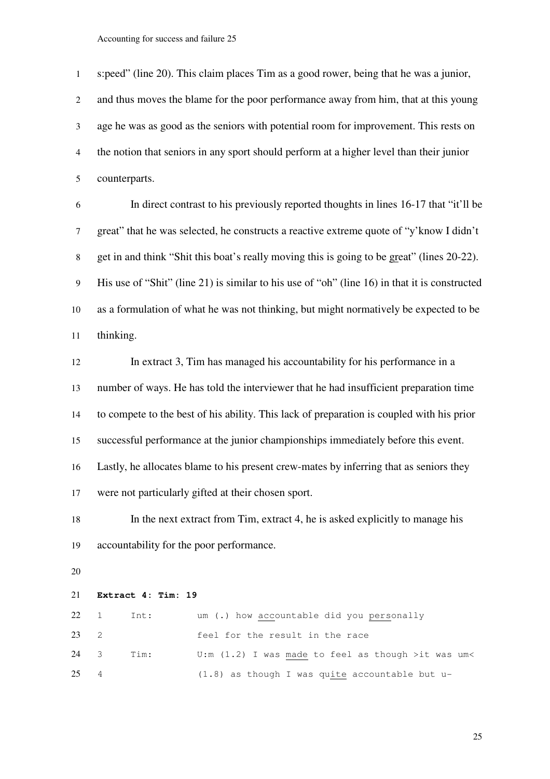s:peed" (line 20). This claim places Tim as a good rower, being that he was a junior, and thus moves the blame for the poor performance away from him, that at this young age he was as good as the seniors with potential room for improvement. This rests on the notion that seniors in any sport should perform at a higher level than their junior counterparts.

In direct contrast to his previously reported thoughts in lines 16-17 that "it'll be great" that he was selected, he constructs a reactive extreme quote of "y'know I didn't get in and think "Shit this boat's really moving this is going to be great" (lines 20-22). His use of "Shit" (line 21) is similar to his use of "oh" (line 16) in that it is constructed as a formulation of what he was not thinking, but might normatively be expected to be thinking.

In extract 3, Tim has managed his accountability for his performance in a number of ways. He has told the interviewer that he had insufficient preparation time to compete to the best of his ability. This lack of preparation is coupled with his prior successful performance at the junior championships immediately before this event. Lastly, he allocates blame to his present crew-mates by inferring that as seniors they were not particularly gifted at their chosen sport.

In the next extract from Tim, extract 4, he is asked explicitly to manage his accountability for the poor performance.

#### **Extract 4: Tim: 19**

|      | $22 \quad 1 \quad \text{Int:}$ | um (.) how accountable did you personally            |
|------|--------------------------------|------------------------------------------------------|
| 23 2 |                                | feel for the result in the race                      |
|      | 24 3 Tim:                      | U:m $(1.2)$ I was made to feel as though >it was um< |
| 25 4 |                                | $(1.8)$ as though I was quite accountable but u-     |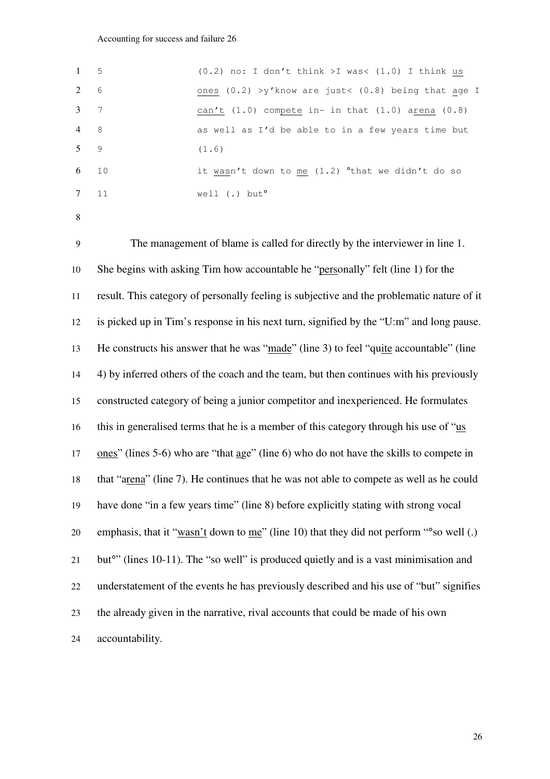| $1 \quad 5$      |    | $(0.2)$ no: I don't think >I was< $(1.0)$ I think us           |
|------------------|----|----------------------------------------------------------------|
| 2 6              |    | ones $(0.2)$ >y'know are just< $(0.8)$ being that age I        |
| $3 \overline{7}$ |    | can't $(1.0)$ compete in- in that $(1.0)$ arena $(0.8)$        |
| $\frac{4}{8}$    |    | as well as I'd be able to in a few years time but              |
| $5 \qquad 9$     |    | (1.6)                                                          |
| 6 10             |    | it wasn't down to me $(1.2)$ <sup>o</sup> that we didn't do so |
|                  | 11 | well $(.)$ but <sup>o</sup>                                    |

The management of blame is called for directly by the interviewer in line 1. She begins with asking Tim how accountable he "personally" felt (line 1) for the result. This category of personally feeling is subjective and the problematic nature of it is picked up in Tim's response in his next turn, signified by the "U:m" and long pause. He constructs his answer that he was "made" (line 3) to feel "quite accountable" (line 4) by inferred others of the coach and the team, but then continues with his previously constructed category of being a junior competitor and inexperienced. He formulates this in generalised terms that he is a member of this category through his use of "us ones" (lines 5-6) who are "that age" (line 6) who do not have the skills to compete in that "arena" (line 7). He continues that he was not able to compete as well as he could have done "in a few years time" (line 8) before explicitly stating with strong vocal 20 emphasis, that it "wasn't down to me" (line 10) that they did not perform "°so well (.) 21 but<sup>o</sup>" (lines 10-11). The "so well" is produced quietly and is a vast minimisation and understatement of the events he has previously described and his use of "but" signifies the already given in the narrative, rival accounts that could be made of his own accountability.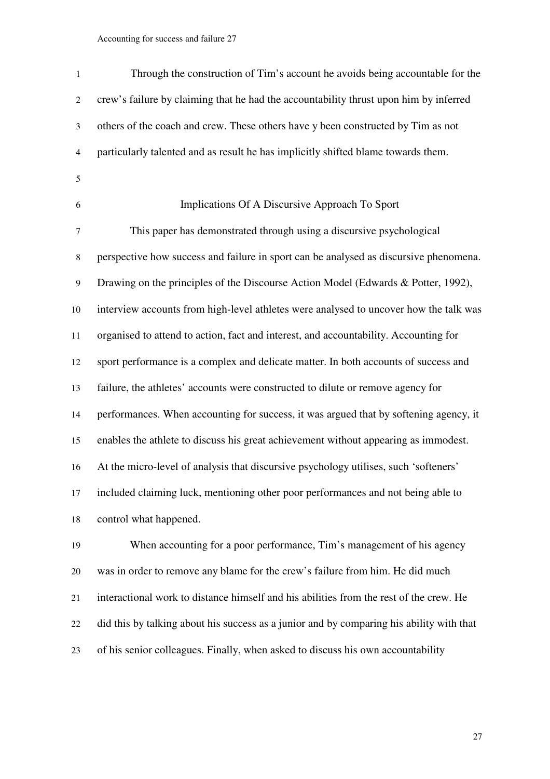| $\mathbf{1}$   | Through the construction of Tim's account he avoids being accountable for the            |
|----------------|------------------------------------------------------------------------------------------|
| $\overline{c}$ | crew's failure by claiming that he had the accountability thrust upon him by inferred    |
| 3              | others of the coach and crew. These others have y been constructed by Tim as not         |
| $\overline{4}$ | particularly talented and as result he has implicitly shifted blame towards them.        |
| $\mathfrak s$  |                                                                                          |
| 6              | Implications Of A Discursive Approach To Sport                                           |
| 7              | This paper has demonstrated through using a discursive psychological                     |
| 8              | perspective how success and failure in sport can be analysed as discursive phenomena.    |
| $\overline{9}$ | Drawing on the principles of the Discourse Action Model (Edwards & Potter, 1992),        |
| 10             | interview accounts from high-level athletes were analysed to uncover how the talk was    |
| 11             | organised to attend to action, fact and interest, and accountability. Accounting for     |
| 12             | sport performance is a complex and delicate matter. In both accounts of success and      |
| 13             | failure, the athletes' accounts were constructed to dilute or remove agency for          |
| 14             | performances. When accounting for success, it was argued that by softening agency, it    |
| 15             | enables the athlete to discuss his great achievement without appearing as immodest.      |
| 16             | At the micro-level of analysis that discursive psychology utilises, such 'softeners'     |
| 17             | included claiming luck, mentioning other poor performances and not being able to         |
| 18             | control what happened.                                                                   |
| 19             | When accounting for a poor performance, Tim's management of his agency                   |
| 20             | was in order to remove any blame for the crew's failure from him. He did much            |
| 21             | interactional work to distance himself and his abilities from the rest of the crew. He   |
| 22             | did this by talking about his success as a junior and by comparing his ability with that |

of his senior colleagues. Finally, when asked to discuss his own accountability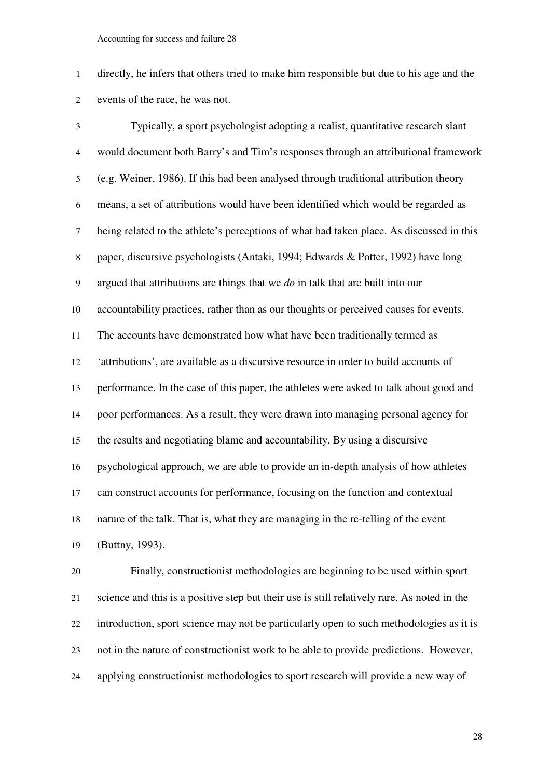directly, he infers that others tried to make him responsible but due to his age and the events of the race, he was not.

Typically, a sport psychologist adopting a realist, quantitative research slant would document both Barry's and Tim's responses through an attributional framework (e.g. Weiner, 1986). If this had been analysed through traditional attribution theory means, a set of attributions would have been identified which would be regarded as being related to the athlete's perceptions of what had taken place. As discussed in this paper, discursive psychologists (Antaki, 1994; Edwards & Potter, 1992) have long argued that attributions are things that we *do* in talk that are built into our accountability practices, rather than as our thoughts or perceived causes for events. The accounts have demonstrated how what have been traditionally termed as 'attributions', are available as a discursive resource in order to build accounts of performance. In the case of this paper, the athletes were asked to talk about good and poor performances. As a result, they were drawn into managing personal agency for the results and negotiating blame and accountability. By using a discursive psychological approach, we are able to provide an in-depth analysis of how athletes can construct accounts for performance, focusing on the function and contextual nature of the talk. That is, what they are managing in the re-telling of the event (Buttny, 1993).

Finally, constructionist methodologies are beginning to be used within sport science and this is a positive step but their use is still relatively rare. As noted in the introduction, sport science may not be particularly open to such methodologies as it is not in the nature of constructionist work to be able to provide predictions. However, applying constructionist methodologies to sport research will provide a new way of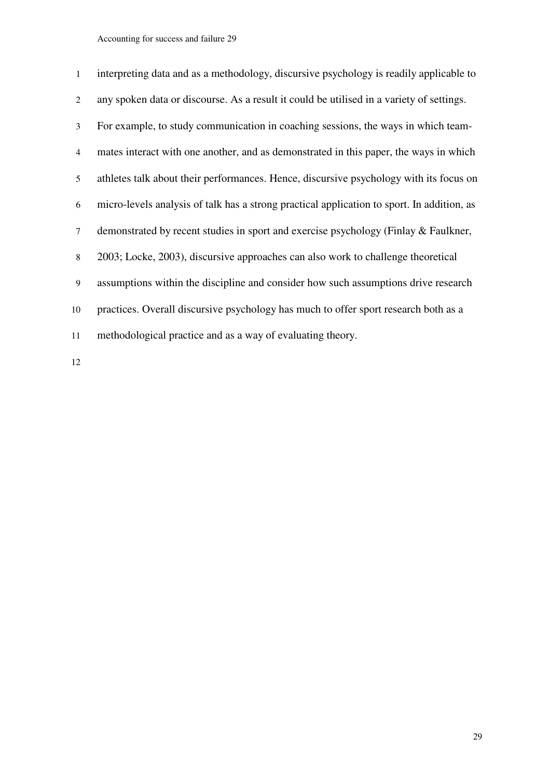| $\mathbf{1}$ | interpreting data and as a methodology, discursive psychology is readily applicable to     |
|--------------|--------------------------------------------------------------------------------------------|
| 2            | any spoken data or discourse. As a result it could be utilised in a variety of settings.   |
| 3            | For example, to study communication in coaching sessions, the ways in which team-          |
| 4            | mates interact with one another, and as demonstrated in this paper, the ways in which      |
| 5            | athletes talk about their performances. Hence, discursive psychology with its focus on     |
| 6            | micro-levels analysis of talk has a strong practical application to sport. In addition, as |
| 7            | demonstrated by recent studies in sport and exercise psychology (Finlay & Faulkner,        |
| 8            | 2003; Locke, 2003), discursive approaches can also work to challenge theoretical           |
| 9            | assumptions within the discipline and consider how such assumptions drive research         |
| 10           | practices. Overall discursive psychology has much to offer sport research both as a        |
| 11           | methodological practice and as a way of evaluating theory.                                 |
|              |                                                                                            |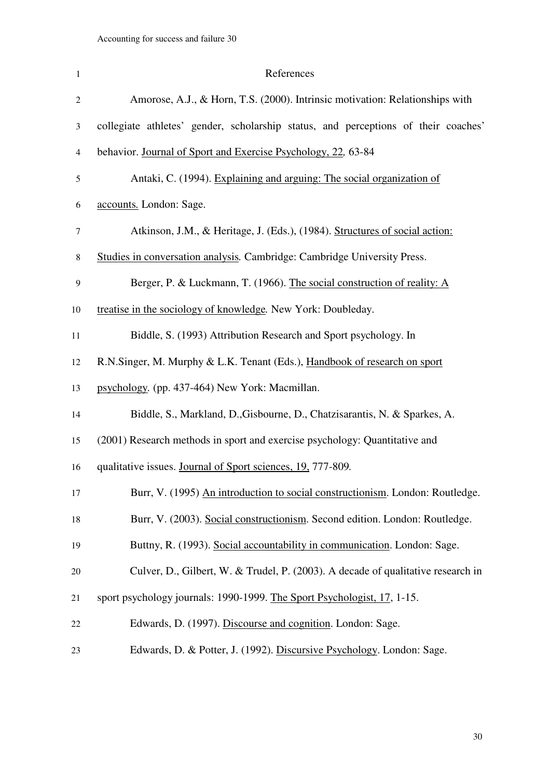| $\mathbf{1}$     | References                                                                         |
|------------------|------------------------------------------------------------------------------------|
| $\overline{c}$   | Amorose, A.J., & Horn, T.S. (2000). Intrinsic motivation: Relationships with       |
| 3                | collegiate athletes' gender, scholarship status, and perceptions of their coaches' |
| $\overline{4}$   | behavior. Journal of Sport and Exercise Psychology, 22, 63-84                      |
| 5                | Antaki, C. (1994). Explaining and arguing: The social organization of              |
| 6                | accounts. London: Sage.                                                            |
| $\tau$           | Atkinson, J.M., & Heritage, J. (Eds.), (1984). Structures of social action:        |
| $\,8\,$          | Studies in conversation analysis. Cambridge: Cambridge University Press.           |
| $\boldsymbol{9}$ | Berger, P. & Luckmann, T. (1966). The social construction of reality: A            |
| 10               | treatise in the sociology of knowledge. New York: Doubleday.                       |
| 11               | Biddle, S. (1993) Attribution Research and Sport psychology. In                    |
| 12               | R.N.Singer, M. Murphy & L.K. Tenant (Eds.), Handbook of research on sport          |
| 13               | psychology. (pp. 437-464) New York: Macmillan.                                     |
| 14               | Biddle, S., Markland, D., Gisbourne, D., Chatzisarantis, N. & Sparkes, A.          |
| 15               | (2001) Research methods in sport and exercise psychology: Quantitative and         |
| 16               | qualitative issues. Journal of Sport sciences, 19, 777-809.                        |
| 17               | Burr, V. (1995) An introduction to social constructionism. London: Routledge.      |
| 18               | Burr, V. (2003). Social constructionism. Second edition. London: Routledge.        |
| 19               | Buttny, R. (1993). Social accountability in communication. London: Sage.           |
| 20               | Culver, D., Gilbert, W. & Trudel, P. (2003). A decade of qualitative research in   |
| 21               | sport psychology journals: 1990-1999. The Sport Psychologist, 17, 1-15.            |
| 22               | Edwards, D. (1997). Discourse and cognition. London: Sage.                         |
| 23               | Edwards, D. & Potter, J. (1992). Discursive Psychology. London: Sage.              |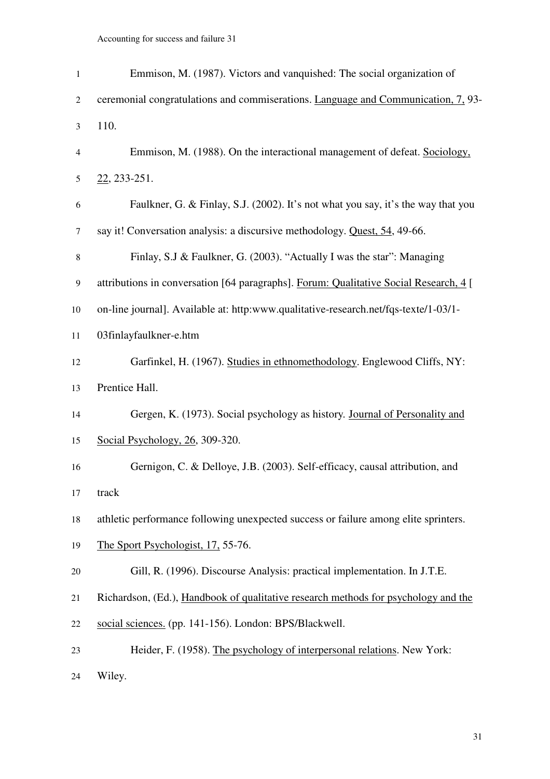| $\mathbf{1}$     | Emmison, M. (1987). Victors and vanquished: The social organization of                |
|------------------|---------------------------------------------------------------------------------------|
| $\overline{2}$   | ceremonial congratulations and commiserations. Language and Communication, 7, 93-     |
| 3                | 110.                                                                                  |
| 4                | Emmison, M. (1988). On the interactional management of defeat. Sociology,             |
| $\mathfrak s$    | $22, 233 - 251.$                                                                      |
| 6                | Faulkner, G. & Finlay, S.J. (2002). It's not what you say, it's the way that you      |
| $\tau$           | say it! Conversation analysis: a discursive methodology. Quest, 54, 49-66.            |
| $\,8\,$          | Finlay, S.J & Faulkner, G. (2003). "Actually I was the star": Managing                |
| $\boldsymbol{9}$ | attributions in conversation [64 paragraphs]. Forum: Qualitative Social Research, 4 [ |
| 10               | on-line journal]. Available at: http:www.qualitative-research.net/fqs-texte/1-03/1-   |
| 11               | 03finlayfaulkner-e.htm                                                                |
| 12               | Garfinkel, H. (1967). Studies in ethnomethodology. Englewood Cliffs, NY:              |
| 13               | Prentice Hall.                                                                        |
| 14               | Gergen, K. (1973). Social psychology as history. Journal of Personality and           |
| 15               | Social Psychology, 26, 309-320.                                                       |
| 16               | Gernigon, C. & Delloye, J.B. (2003). Self-efficacy, causal attribution, and           |
| 17               | track                                                                                 |
| 18               | athletic performance following unexpected success or failure among elite sprinters.   |
| 19               | The Sport Psychologist, 17, 55-76.                                                    |
| 20               | Gill, R. (1996). Discourse Analysis: practical implementation. In J.T.E.              |
| 21               | Richardson, (Ed.), Handbook of qualitative research methods for psychology and the    |
| 22               | social sciences. (pp. 141-156). London: BPS/Blackwell.                                |
| 23               | Heider, F. (1958). The psychology of interpersonal relations. New York:               |
| 24               | Wiley.                                                                                |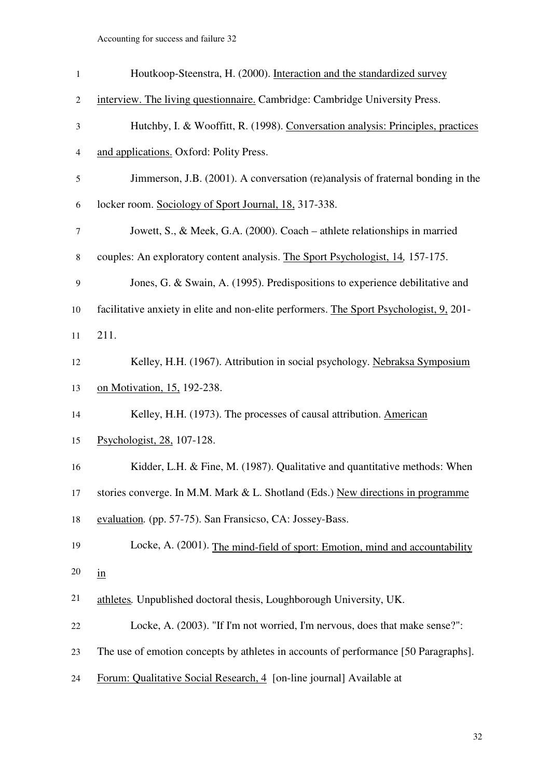| $\mathbf{1}$   | Houtkoop-Steenstra, H. (2000). Interaction and the standardized survey                  |
|----------------|-----------------------------------------------------------------------------------------|
| $\overline{c}$ | interview. The living questionnaire. Cambridge: Cambridge University Press.             |
| $\mathfrak{Z}$ | Hutchby, I. & Wooffitt, R. (1998). Conversation analysis: Principles, practices         |
| $\overline{4}$ | and applications. Oxford: Polity Press.                                                 |
| 5              | Jimmerson, J.B. (2001). A conversation (re)analysis of fraternal bonding in the         |
| 6              | locker room. Sociology of Sport Journal, 18, 317-338.                                   |
| $\tau$         | Jowett, S., & Meek, G.A. (2000). Coach – athlete relationships in married               |
| 8              | couples: An exploratory content analysis. The Sport Psychologist, 14, 157-175.          |
| 9              | Jones, G. & Swain, A. (1995). Predispositions to experience debilitative and            |
| 10             | facilitative anxiety in elite and non-elite performers. The Sport Psychologist, 9, 201- |
| 11             | 211.                                                                                    |
| 12             | Kelley, H.H. (1967). Attribution in social psychology. Nebraksa Symposium               |
| 13             | on Motivation, 15, 192-238.                                                             |
| 14             | Kelley, H.H. (1973). The processes of causal attribution. American                      |
| 15             | Psychologist, 28, 107-128.                                                              |
| 16             | Kidder, L.H. & Fine, M. (1987). Qualitative and quantitative methods: When              |
| 17             | stories converge. In M.M. Mark & L. Shotland (Eds.) New directions in programme         |
| 18             | evaluation. (pp. 57-75). San Fransicso, CA: Jossey-Bass.                                |
| 19             | Locke, A. (2001). The mind-field of sport: Emotion, mind and accountability             |
| 20             | $\underline{\text{in}}$                                                                 |
| 21             | athletes. Unpublished doctoral thesis, Loughborough University, UK.                     |
| 22             | Locke, A. (2003). "If I'm not worried, I'm nervous, does that make sense?":             |
| 23             | The use of emotion concepts by athletes in accounts of performance [50 Paragraphs].     |
| 24             | Forum: Qualitative Social Research, 4 [on-line journal] Available at                    |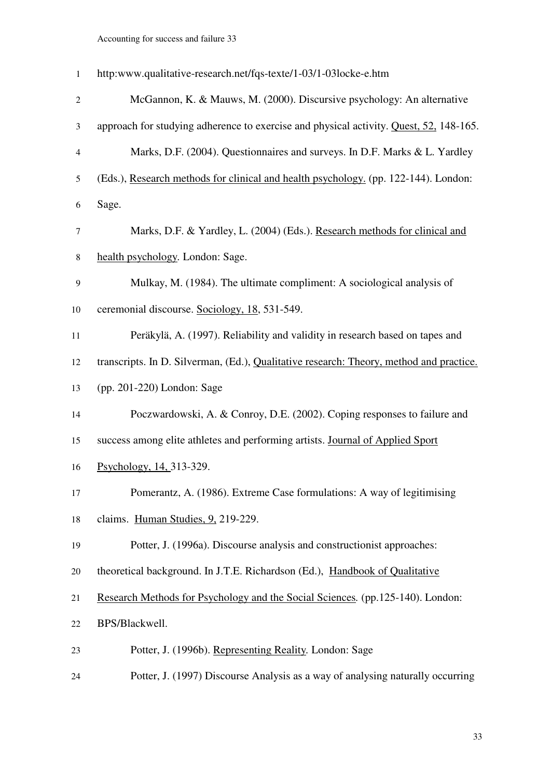| $\mathbf{1}$     | http:www.qualitative-research.net/fqs-texte/1-03/1-03locke-e.htm                        |
|------------------|-----------------------------------------------------------------------------------------|
| $\mathfrak{2}$   | McGannon, K. & Mauws, M. (2000). Discursive psychology: An alternative                  |
| 3                | approach for studying adherence to exercise and physical activity. Quest, 52, 148-165.  |
| 4                | Marks, D.F. (2004). Questionnaires and surveys. In D.F. Marks & L. Yardley              |
| 5                | (Eds.), Research methods for clinical and health psychology. (pp. 122-144). London:     |
| 6                | Sage.                                                                                   |
| $\tau$           | Marks, D.F. & Yardley, L. (2004) (Eds.). Research methods for clinical and              |
| $\,8\,$          | health psychology. London: Sage.                                                        |
| $\boldsymbol{9}$ | Mulkay, M. (1984). The ultimate compliment: A sociological analysis of                  |
| 10               | ceremonial discourse. Sociology, 18, 531-549.                                           |
| 11               | Peräkylä, A. (1997). Reliability and validity in research based on tapes and            |
| 12               | transcripts. In D. Silverman, (Ed.), Qualitative research: Theory, method and practice. |
| 13               | (pp. 201-220) London: Sage                                                              |
| 14               | Poczwardowski, A. & Conroy, D.E. (2002). Coping responses to failure and                |
| 15               | success among elite athletes and performing artists. Journal of Applied Sport           |
| 16               | Psychology, 14, 313-329.                                                                |
| 17               | Pomerantz, A. (1986). Extreme Case formulations: A way of legitimising                  |
| 18               | claims. Human Studies, 9, 219-229.                                                      |
| 19               | Potter, J. (1996a). Discourse analysis and constructionist approaches:                  |
| 20               | theoretical background. In J.T.E. Richardson (Ed.), Handbook of Qualitative             |
| 21               | Research Methods for Psychology and the Social Sciences. (pp.125-140). London:          |
| 22               | BPS/Blackwell.                                                                          |
| 23               | Potter, J. (1996b). Representing Reality. London: Sage                                  |
| 24               | Potter, J. (1997) Discourse Analysis as a way of analysing naturally occurring          |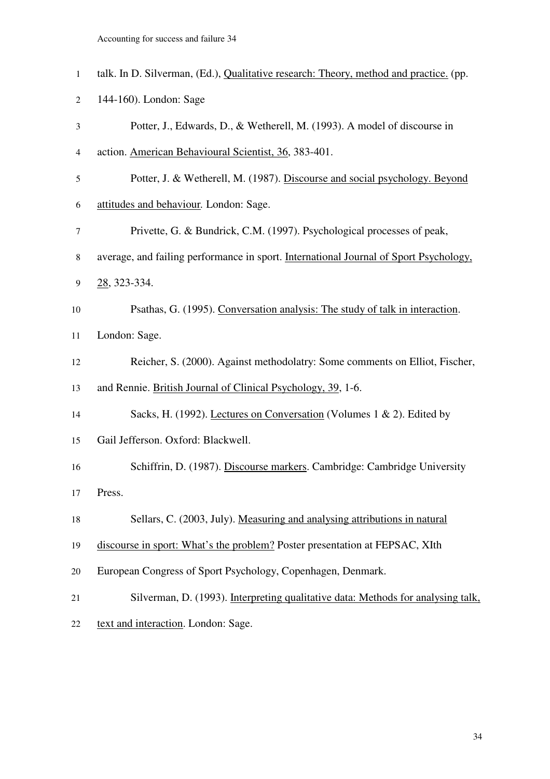| $\mathbf{1}$ | talk. In D. Silverman, (Ed.), Qualitative research: Theory, method and practice. (pp. |
|--------------|---------------------------------------------------------------------------------------|
| 2            | 144-160). London: Sage                                                                |
| 3            | Potter, J., Edwards, D., & Wetherell, M. (1993). A model of discourse in              |
| 4            | action. American Behavioural Scientist, 36, 383-401.                                  |
| 5            | Potter, J. & Wetherell, M. (1987). Discourse and social psychology. Beyond            |
| 6            | attitudes and behaviour. London: Sage.                                                |
| 7            | Privette, G. & Bundrick, C.M. (1997). Psychological processes of peak,                |
| 8            | average, and failing performance in sport. International Journal of Sport Psychology, |
| 9            | 28, 323-334.                                                                          |
| 10           | Psathas, G. (1995). Conversation analysis: The study of talk in interaction.          |
| 11           | London: Sage.                                                                         |
| 12           | Reicher, S. (2000). Against methodolatry: Some comments on Elliot, Fischer,           |
| 13           | and Rennie. British Journal of Clinical Psychology, 39, 1-6.                          |
| 14           | Sacks, H. (1992). Lectures on Conversation (Volumes 1 & 2). Edited by                 |
| 15           | Gail Jefferson. Oxford: Blackwell.                                                    |
| 16           | Schiffrin, D. (1987). Discourse markers. Cambridge: Cambridge University              |
| 17           | Press.                                                                                |
| 18           | Sellars, C. (2003, July). Measuring and analysing attributions in natural             |
| 19           | discourse in sport: What's the problem? Poster presentation at FEPSAC, XIth           |
| 20           | European Congress of Sport Psychology, Copenhagen, Denmark.                           |
| 21           | Silverman, D. (1993). Interpreting qualitative data: Methods for analysing talk,      |
| 22           | text and interaction. London: Sage.                                                   |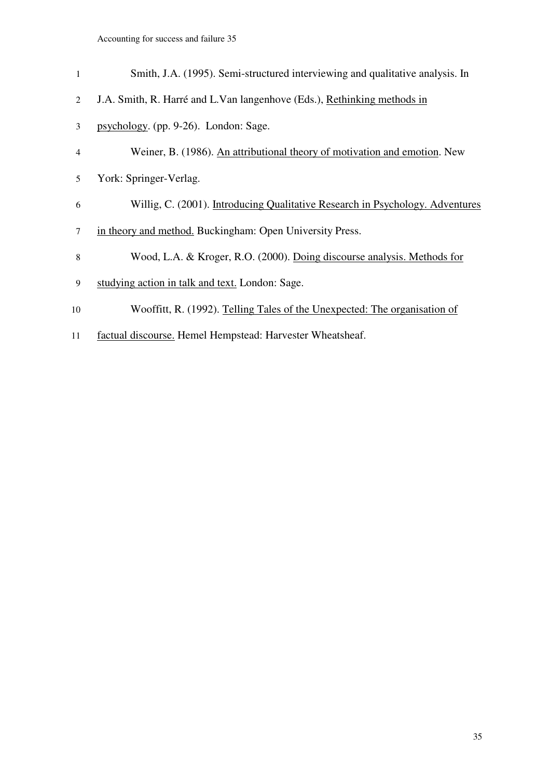| $\mathbf{1}$   | Smith, J.A. (1995). Semi-structured interviewing and qualitative analysis. In |
|----------------|-------------------------------------------------------------------------------|
| $\mathfrak{D}$ | J.A. Smith, R. Harré and L. Van langenhove (Eds.), Rethinking methods in      |
| 3              | psychology. (pp. 9-26). London: Sage.                                         |
| 4              | Weiner, B. (1986). An attributional theory of motivation and emotion. New     |
| 5              | York: Springer-Verlag.                                                        |
| 6              | Willig, C. (2001). Introducing Qualitative Research in Psychology. Adventures |
| 7              | in theory and method. Buckingham: Open University Press.                      |
| 8              | Wood, L.A. & Kroger, R.O. (2000). Doing discourse analysis. Methods for       |
| 9              | studying action in talk and text. London: Sage.                               |
| 10             | Wooffitt, R. (1992). Telling Tales of the Unexpected: The organisation of     |
|                |                                                                               |

factual discourse. Hemel Hempstead: Harvester Wheatsheaf.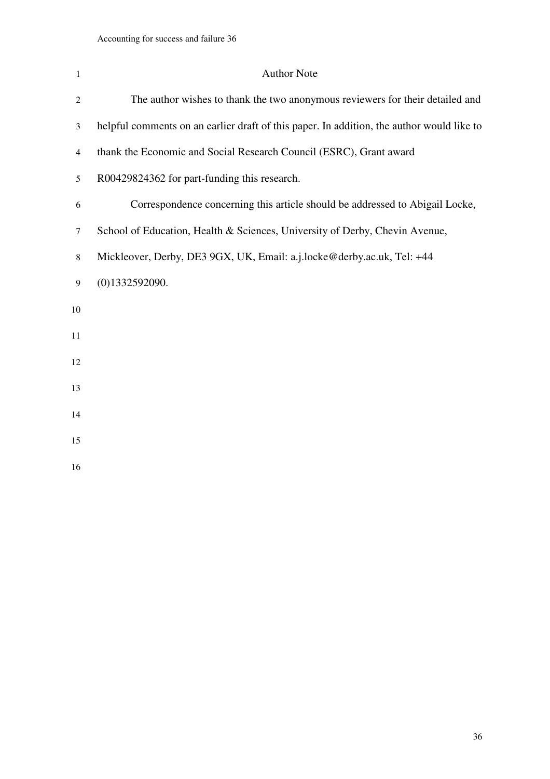| $\mathbf{1}$   | <b>Author Note</b>                                                                        |
|----------------|-------------------------------------------------------------------------------------------|
| $\overline{2}$ | The author wishes to thank the two anonymous reviewers for their detailed and             |
| 3              | helpful comments on an earlier draft of this paper. In addition, the author would like to |
| $\overline{4}$ | thank the Economic and Social Research Council (ESRC), Grant award                        |
| 5              | R00429824362 for part-funding this research.                                              |
| 6              | Correspondence concerning this article should be addressed to Abigail Locke,              |
| 7              | School of Education, Health & Sciences, University of Derby, Chevin Avenue,               |
| 8              | Mickleover, Derby, DE3 9GX, UK, Email: a.j.locke@derby.ac.uk, Tel: +44                    |
| 9              | (0)1332592090.                                                                            |
| 10             |                                                                                           |
| 11             |                                                                                           |
| 12             |                                                                                           |
| 13             |                                                                                           |
| 14             |                                                                                           |
| 15             |                                                                                           |
| 16             |                                                                                           |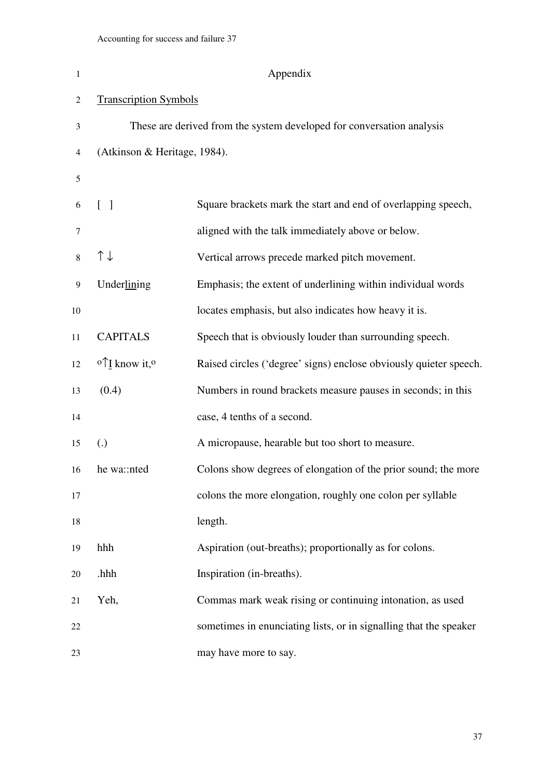| $\mathbf{1}$   | Appendix                                        |                                                                       |  |
|----------------|-------------------------------------------------|-----------------------------------------------------------------------|--|
| $\overline{c}$ | <b>Transcription Symbols</b>                    |                                                                       |  |
| 3              |                                                 | These are derived from the system developed for conversation analysis |  |
| 4              | (Atkinson & Heritage, 1984).                    |                                                                       |  |
| 5              |                                                 |                                                                       |  |
| 6              | $\begin{bmatrix} 1 \end{bmatrix}$               | Square brackets mark the start and end of overlapping speech,         |  |
| 7              |                                                 | aligned with the talk immediately above or below.                     |  |
| 8              | $\uparrow \downarrow$                           | Vertical arrows precede marked pitch movement.                        |  |
| 9              | Underlining                                     | Emphasis; the extent of underlining within individual words           |  |
| 10             |                                                 | locates emphasis, but also indicates how heavy it is.                 |  |
| 11             | <b>CAPITALS</b>                                 | Speech that is obviously louder than surrounding speech.              |  |
| 12             | $\circ \uparrow$ <i>I</i> know it, <sup>o</sup> | Raised circles ('degree' signs) enclose obviously quieter speech.     |  |
| 13             | (0.4)                                           | Numbers in round brackets measure pauses in seconds; in this          |  |
| 14             |                                                 | case, 4 tenths of a second.                                           |  |
| 15             | $\left( .\right)$                               | A micropause, hearable but too short to measure.                      |  |
| 16             | he wa::nted                                     | Colons show degrees of elongation of the prior sound; the more        |  |
| 17             |                                                 | colons the more elongation, roughly one colon per syllable            |  |
| 18             |                                                 | length.                                                               |  |
| 19             | hhh                                             | Aspiration (out-breaths); proportionally as for colons.               |  |
| 20             | .hhh                                            | Inspiration (in-breaths).                                             |  |
| 21             | Yeh,                                            | Commas mark weak rising or continuing intonation, as used             |  |
| 22             |                                                 | sometimes in enunciating lists, or in signalling that the speaker     |  |
| 23             |                                                 | may have more to say.                                                 |  |